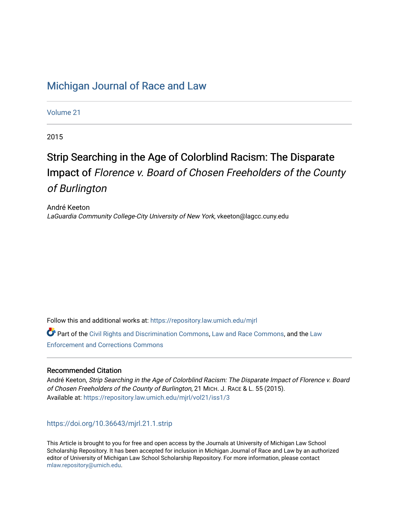## [Michigan Journal of Race and Law](https://repository.law.umich.edu/mjrl)

[Volume 21](https://repository.law.umich.edu/mjrl/vol21)

2015

# Strip Searching in the Age of Colorblind Racism: The Disparate Impact of Florence v. Board of Chosen Freeholders of the County of Burlington

André Keeton LaGuardia Community College-City University of New York, vkeeton@lagcc.cuny.edu

Follow this and additional works at: [https://repository.law.umich.edu/mjrl](https://repository.law.umich.edu/mjrl?utm_source=repository.law.umich.edu%2Fmjrl%2Fvol21%2Fiss1%2F3&utm_medium=PDF&utm_campaign=PDFCoverPages) 

Part of the [Civil Rights and Discrimination Commons,](http://network.bepress.com/hgg/discipline/585?utm_source=repository.law.umich.edu%2Fmjrl%2Fvol21%2Fiss1%2F3&utm_medium=PDF&utm_campaign=PDFCoverPages) [Law and Race Commons,](http://network.bepress.com/hgg/discipline/1300?utm_source=repository.law.umich.edu%2Fmjrl%2Fvol21%2Fiss1%2F3&utm_medium=PDF&utm_campaign=PDFCoverPages) and the [Law](http://network.bepress.com/hgg/discipline/854?utm_source=repository.law.umich.edu%2Fmjrl%2Fvol21%2Fiss1%2F3&utm_medium=PDF&utm_campaign=PDFCoverPages) [Enforcement and Corrections Commons](http://network.bepress.com/hgg/discipline/854?utm_source=repository.law.umich.edu%2Fmjrl%2Fvol21%2Fiss1%2F3&utm_medium=PDF&utm_campaign=PDFCoverPages) 

## Recommended Citation

André Keeton, Strip Searching in the Age of Colorblind Racism: The Disparate Impact of Florence v. Board of Chosen Freeholders of the County of Burlington, 21 MICH. J. RACE & L. 55 (2015). Available at: [https://repository.law.umich.edu/mjrl/vol21/iss1/3](https://repository.law.umich.edu/mjrl/vol21/iss1/3?utm_source=repository.law.umich.edu%2Fmjrl%2Fvol21%2Fiss1%2F3&utm_medium=PDF&utm_campaign=PDFCoverPages) 

<https://doi.org/10.36643/mjrl.21.1.strip>

This Article is brought to you for free and open access by the Journals at University of Michigan Law School Scholarship Repository. It has been accepted for inclusion in Michigan Journal of Race and Law by an authorized editor of University of Michigan Law School Scholarship Repository. For more information, please contact [mlaw.repository@umich.edu.](mailto:mlaw.repository@umich.edu)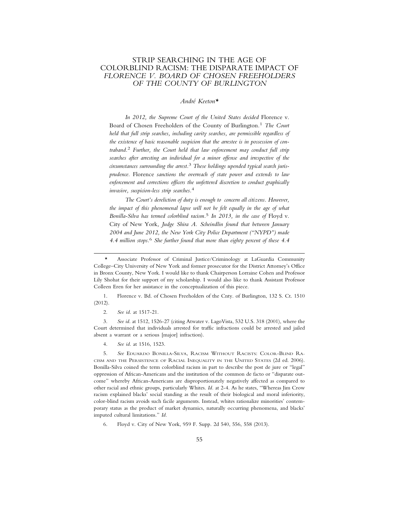## STRIP SEARCHING IN THE AGE OF COLORBLIND RACISM: THE DISPARATE IMPACT OF *FLORENCE V. BOARD OF CHOSEN FREEHOLDERS OF THE COUNTY OF BURLINGTON*

## *Andr´e Keeton\**

*In 2012, the Supreme Court of the United States decided* Florence v. Board of Chosen Freeholders of the County of Burlington*.* 1 *The Court held that full strip searches, including cavity searches, are permissible regardless of the existence of basic reasonable suspicion that the arrestee is in possession of contraband.*2 *Further, the Court held that law enforcement may conduct full strip searches after arresting an individual for a minor offense and irrespective of the circumstances surrounding the arrest.*3 *These holdings upended typical search jurisprudence.* Florence *sanctions the overreach of state power and extends to law enforcement and corrections officers the unfettered discretion to conduct graphically invasive, suspicion-less strip searches.*4

*The Court's dereliction of duty is enough to concern all citizens. However, the impact of this phenomenal lapse will not be felt equally in the age of what Bonilla-Silva has termed colorblind racism.*5 *In 2013, in the case of* Floyd v. City of New York*, Judge Shira A. Scheindlin found that between January 2004 and June 2012, the New York City Police Department ("NYPD") made 4.4 million stops.*6 *She further found that more than eighty percent of these 4.4*

1. Florence v. Bd. of Chosen Freeholders of the Cnty. of Burlington, 132 S. Ct. 1510 (2012).

2. *See id*. at 1517-21.

3. *See id*. at 1512, 1526-27 (citing Atwater v. LagoVista, 532 U.S. 318 (2001), where the Court determined that individuals arrested for traffic infractions could be arrested and jailed absent a warrant or a serious [major] infraction).

4. *See id*. at 1516, 1523.

5. *See* EDUARDO BONILLA-SILVA, RACISM WITHOUT RACISTS: COLOR-BLIND RA-CISM AND THE PERSISTENCE OF RACIAL INEQUALITY IN THE UNITED STATES (2d ed. 2006). Bonilla-Silva coined the term colorblind racism in part to describe the post de jure or "legal" oppression of African-Americans and the institution of the common de facto or "disparate outcome" whereby African-Americans are disproportionately negatively affected as compared to other racial and ethnic groups, particularly Whites. *Id.* at 2-4. As he states, "Whereas Jim Crow racism explained blacks' social standing as the result of their biological and moral inferiority, color-blind racism avoids such facile arguments. Instead, whites rationalize minorities' contemporary status as the product of market dynamics, naturally occurring phenomena, and blacks' imputed cultural limitations." *Id.*

6. Floyd v. City of New York, 959 F. Supp. 2d 540, 556, 558 (2013).

<sup>\*</sup> Associate Professor of Criminal Justice/Criminology at LaGuardia Community College–City University of New York and former prosecutor for the District Attorney's Office in Bronx County, New York. I would like to thank Chairperson Lorraine Cohen and Professor Lily Shohat for their support of my scholarship. I would also like to thank Assistant Professor Colleen Eren for her assistance in the conceptualization of this piece.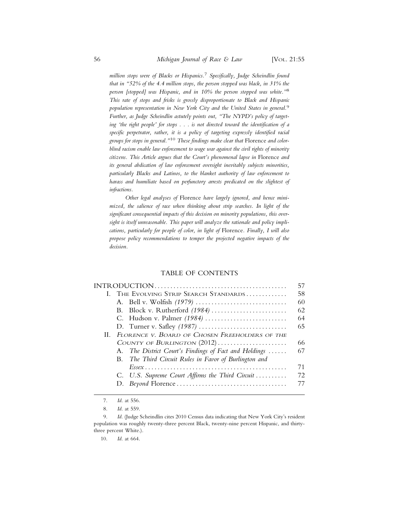*million stops were of Blacks or Hispanics.*7 *Specifically, Judge Scheindlin found that in "52% of the 4.4 million stops, the person stopped was black, in 31% the person [stopped] was Hispanic, and in 10% the person stopped was white."*8 *This rate of stops and frisks is grossly disproportionate to Black and Hispanic population representation in New York City and the United States in general.*9 *Further, as Judge Scheindlin astutely points out, "The NYPD's policy of targeting 'the right people' for stops . . . is not directed toward the identification of a specific perpetrator, rather, it is a policy of targeting expressly identified racial groups for stops in general."*10 *These findings make clear that* Florence *and colorblind racism enable law enforcement to wage war against the civil rights of minority citizens. This Article argues that the Court's phenomenal lapse in* Florence *and its general abdication of law enforcement oversight inevitably subjects minorities, particularly Blacks and Latinos, to the blanket authority of law enforcement to harass and humiliate based on perfunctory arrests predicated on the slightest of infractions.*

*Other legal analyses of* Florence *have largely ignored, and hence minimized, the salience of race when thinking about strip searches. In light of the significant consequential impacts of this decision on minority populations, this oversight is itself unreasonable. This paper will analyze the rationale and policy implications, particularly for people of color, in light of* Florence*. Finally, I will also propose policy recommendations to temper the projected negative impacts of the decision.*

## TABLE OF CONTENTS

|                                                       | 57  |
|-------------------------------------------------------|-----|
| I. The Evolving Strip Search Standards                | 58  |
|                                                       | 60  |
|                                                       | 62  |
| C. Hudson v. Palmer (1984)                            | 64  |
|                                                       | 65  |
| II. FLORENCE V. BOARD OF CHOSEN FREEHOLDERS OF THE    |     |
| COUNTY OF BURLINGTON (2012)                           | 66  |
| A. The District Court's Findings of Fact and Holdings | 67  |
| B. The Third Circuit Rules in Favor of Burlington and |     |
|                                                       | 71  |
| C. U.S. Supreme Court Affirms the Third Circuit       | 72. |
|                                                       |     |
|                                                       |     |

10. *Id*. at 664.

<sup>7.</sup> *Id*. at 556.

<sup>8.</sup> *Id*. at 559.

<sup>9.</sup> *Id*. (Judge Scheindlin cites 2010 Census data indicating that New York City's resident population was roughly twenty-three percent Black, twenty-nine percent Hispanic, and thirtythree percent White.).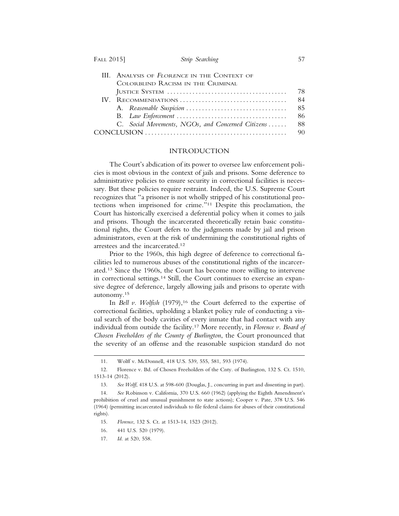| FATT | 2015 |  |
|------|------|--|
|------|------|--|

| III. ANALYSIS OF FLORENCE IN THE CONTEXT OF       |     |
|---------------------------------------------------|-----|
| COLORBLIND RACISM IN THE CRIMINAL                 |     |
|                                                   | 78  |
|                                                   | -84 |
|                                                   | -85 |
|                                                   | 86  |
| C. Social Movements, NGOs, and Concerned Citizens | -88 |
|                                                   | 90  |

#### INTRODUCTION

The Court's abdication of its power to oversee law enforcement policies is most obvious in the context of jails and prisons. Some deference to administrative policies to ensure security in correctional facilities is necessary. But these policies require restraint. Indeed, the U.S. Supreme Court recognizes that "a prisoner is not wholly stripped of his constitutional protections when imprisoned for crime."11 Despite this proclamation, the Court has historically exercised a deferential policy when it comes to jails and prisons. Though the incarcerated theoretically retain basic constitutional rights, the Court defers to the judgments made by jail and prison administrators, even at the risk of undermining the constitutional rights of arrestees and the incarcerated.12

Prior to the 1960s, this high degree of deference to correctional facilities led to numerous abuses of the constitutional rights of the incarcerated.13 Since the 1960s, the Court has become more willing to intervene in correctional settings.14 Still, the Court continues to exercise an expansive degree of deference, largely allowing jails and prisons to operate with autonomy.15

In *Bell v. Wolfish* (1979),<sup>16</sup> the Court deferred to the expertise of correctional facilities, upholding a blanket policy rule of conducting a visual search of the body cavities of every inmate that had contact with any individual from outside the facility.17 More recently, in *Florence v. Board of Chosen Freeholders of the County of Burlington*, the Court pronounced that the severity of an offense and the reasonable suspicion standard do not

17. *Id*. at 520, 558.

<sup>11.</sup> Wolff v. McDonnell, 418 U.S. 539, 555, 581, 593 (1974).

<sup>12.</sup> Florence v. Bd. of Chosen Freeholders of the Cnty. of Burlington, 132 S. Ct. 1510, 1513-14 (2012).

<sup>13.</sup> *See Wolff*, 418 U.S. at 598-600 (Douglas, J., concurring in part and dissenting in part).

<sup>14.</sup> *See* Robinson v. California, 370 U.S. 660 (1962) (applying the Eighth Amendment's prohibition of cruel and unusual punishment to state actions); Cooper v. Pate, 378 U.S. 546 (1964) (permitting incarcerated individuals to file federal claims for abuses of their constitutional rights).

<sup>15.</sup> *Florence*, 132 S. Ct. at 1513-14, 1523 (2012).

<sup>16. 441</sup> U.S. 520 (1979).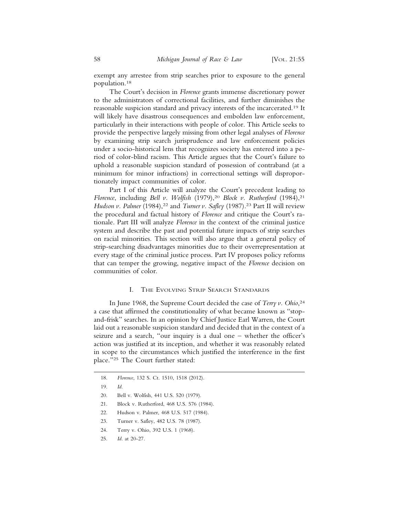exempt any arrestee from strip searches prior to exposure to the general population.18

The Court's decision in *Florence* grants immense discretionary power to the administrators of correctional facilities, and further diminishes the reasonable suspicion standard and privacy interests of the incarcerated.19 It will likely have disastrous consequences and embolden law enforcement, particularly in their interactions with people of color. This Article seeks to provide the perspective largely missing from other legal analyses of *Florence* by examining strip search jurisprudence and law enforcement policies under a socio-historical lens that recognizes society has entered into a period of color-blind racism. This Article argues that the Court's failure to uphold a reasonable suspicion standard of possession of contraband (at a minimum for minor infractions) in correctional settings will disproportionately impact communities of color.

Part I of this Article will analyze the Court's precedent leading to *Florence*, including *Bell v. Wolfish* (1979),<sup>20</sup> *Block v. Rutherford* (1984),<sup>21</sup> *Hudson v. Palmer* (1984),<sup>22</sup> and *Turner v. Safley* (1987).<sup>23</sup> Part II will review the procedural and factual history of *Florence* and critique the Court's rationale. Part III will analyze *Florence* in the context of the criminal justice system and describe the past and potential future impacts of strip searches on racial minorities. This section will also argue that a general policy of strip-searching disadvantages minorities due to their overrepresentation at every stage of the criminal justice process. Part IV proposes policy reforms that can temper the growing, negative impact of the *Florence* decision on communities of color.

## I. THE EVOLVING STRIP SEARCH STANDARDS

In June 1968, the Supreme Court decided the case of *Terry v. Ohio*, 24 a case that affirmed the constitutionality of what became known as "stopand-frisk" searches. In an opinion by Chief Justice Earl Warren, the Court laid out a reasonable suspicion standard and decided that in the context of a seizure and a search, "our inquiry is a dual one – whether the officer's action was justified at its inception, and whether it was reasonably related in scope to the circumstances which justified the interference in the first place."25 The Court further stated:

- 20. Bell v. Wolfish, 441 U.S. 520 (1979).
- 21. Block v. Rutherford, 468 U.S. 576 (1984).
- 22. Hudson v. Palmer, 468 U.S. 517 (1984).
- 23. Turner v. Safley, 482 U.S. 78 (1987).
- 24. Terry v. Ohio, 392 U.S. 1 (1968).
- 25. *Id*. at 20-27.

<sup>18.</sup> *Florence*, 132 S. Ct. 1510, 1518 (2012).

<sup>19.</sup> *Id*.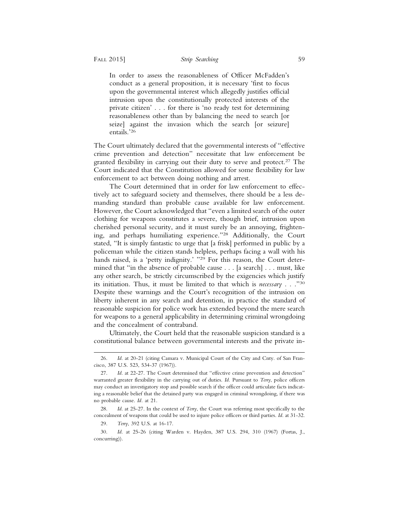In order to assess the reasonableness of Officer McFadden's conduct as a general proposition, it is necessary 'first to focus upon the governmental interest which allegedly justifies official intrusion upon the constitutionally protected interests of the private citizen' . . . for there is 'no ready test for determining reasonableness other than by balancing the need to search [or seize] against the invasion which the search [or seizure] entails.'26

The Court ultimately declared that the governmental interests of "effective crime prevention and detection" necessitate that law enforcement be granted flexibility in carrying out their duty to serve and protect.<sup>27</sup> The Court indicated that the Constitution allowed for some flexibility for law enforcement to act between doing nothing and arrest.

The Court determined that in order for law enforcement to effectively act to safeguard society and themselves, there should be a less demanding standard than probable cause available for law enforcement. However, the Court acknowledged that "even a limited search of the outer clothing for weapons constitutes a severe, though brief, intrusion upon cherished personal security, and it must surely be an annoying, frightening, and perhaps humiliating experience."28 Additionally, the Court stated, "It is simply fantastic to urge that [a frisk] performed in public by a policeman while the citizen stands helpless, perhaps facing a wall with his hands raised, is a 'petty indignity.' "<sup>29</sup> For this reason, the Court determined that "in the absence of probable cause . . . [a search] . . . must, like any other search, be strictly circumscribed by the exigencies which justify its initiation. Thus, it must be limited to that which is *necessary* . . ."30 Despite these warnings and the Court's recognition of the intrusion on liberty inherent in any search and detention, in practice the standard of reasonable suspicion for police work has extended beyond the mere search for weapons to a general applicability in determining criminal wrongdoing and the concealment of contraband.

Ultimately, the Court held that the reasonable suspicion standard is a constitutional balance between governmental interests and the private in-

<sup>26.</sup> *Id*. at 20-21 (citing Camara v. Municipal Court of the City and Cnty. of San Francisco, 387 U.S. 523, 534-37 (1967)).

<sup>27.</sup> *Id*. at 22-27. The Court determined that "effective crime prevention and detection" warranted greater flexibility in the carrying out of duties. *Id.* Pursuant to *Terry*, police officers may conduct an investigatory stop and possible search if the officer could articulate facts indicating a reasonable belief that the detained party was engaged in criminal wrongdoing, if there was no probable cause. *Id.* at 21.

<sup>28.</sup> *Id*. at 25-27. In the context of *Terry*, the Court was referring most specifically to the concealment of weapons that could be used to injure police officers or third parties. *Id*. at 31-32.

<sup>29.</sup> *Terry*, 392 U.S. at 16-17.

<sup>30.</sup> *Id*. at 25-26 (citing Warden v. Hayden, 387 U.S. 294, 310 (1967) (Fortas, J., concurring)).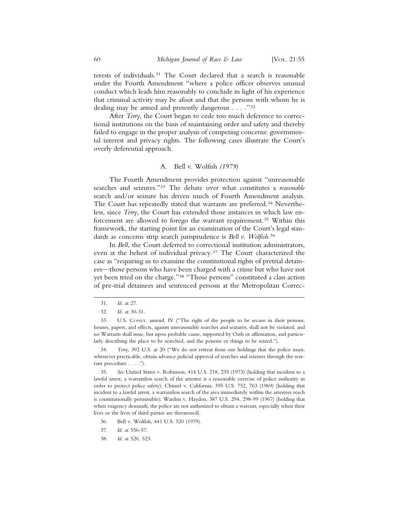terests of individuals.31 The Court declared that a search is reasonable under the Fourth Amendment "where a police officer observes unusual conduct which leads him reasonably to conclude in light of his experience that criminal activity may be afoot and that the persons with whom he is dealing may be armed and presently dangerous . . . ."32

After *Terry*, the Court began to cede too much deference to correctional institutions on the basis of maintaining order and safety and thereby failed to engage in the proper analysis of competing concerns: governmental interest and privacy rights. The following cases illustrate the Court's overly deferential approach.

## A. Bell v. Wolfish *(1979)*

The Fourth Amendment provides protection against "unreasonable searches and seizures."33 The debate over what constitutes a *reasonable* search and/or seizure has driven much of Fourth Amendment analysis. The Court has repeatedly stated that warrants are preferred.34 Nevertheless, since *Terry*, the Court has extended those instances in which law enforcement are allowed to forego the warrant requirement.35 Within this framework, the starting point for an examination of the Court's legal standards as concerns strip search jurisprudence is *Bell v. Wolfish*. 36

In *Bell*, the Court deferred to correctional institution administrators, even at the behest of individual privacy.37 The Court characterized the case as "requiring us to examine the constitutional rights of pretrial detainees—those persons who have been charged with a crime but who have not yet been tried on the charge."38 "Those persons" constituted a class action of pre-trial detainees and sentenced persons at the Metropolitan Correc-

34. *Terry*, 392 U.S. at 20 ("We do not retreat from our holdings that the police must, whenever practicable, obtain advance judicial approval of searches and seizures through the warrant procedure . . . .").

35. *See* United States v. Robinson, 414 U.S. 218, 235 (1973) (holding that incident to a lawful arrest, a warrantless search of the arrestee is a reasonable exercise of police authority in order to protect police safety); Chimel v. California, 395 U.S. 752, 763 (1969) (holding that incident to a lawful arrest, a warrantless search of the area immediately within the arrestees reach is constitutionally permissible); Warden v. Hayden, 387 U.S. 294, 298-99 (1967) (holding that when exigency demands, the police are not authorized to obtain a warrant, especially when their lives or the lives of third parties are threatened).

- 36. Bell v. Wolfish, 441 U.S. 520 (1979).
- 37. *Id*. at 556-57.
- 38. *Id*. at 520, 523.

<sup>31.</sup> *Id*. at 27.

<sup>32.</sup> *Id*. at 30-31.

<sup>33.</sup> U.S. CONST. amend. IV ("The right of the people to be secure in their persons, houses, papers, and effects, against unreasonable searches and seizures, shall not be violated, and no Warrants shall issue, but upon probable cause, supported by Oath or affirmation, and particularly describing the place to be searched, and the persons or things to be seized.").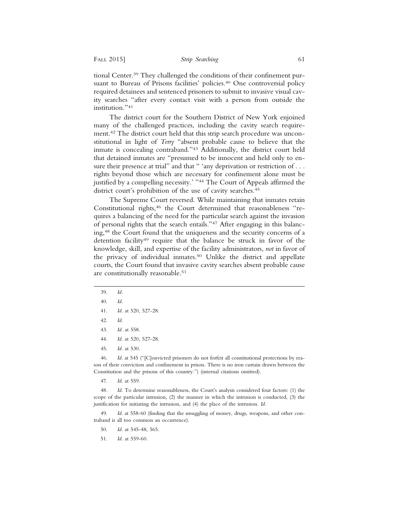tional Center.39 They challenged the conditions of their confinement pursuant to Bureau of Prisons facilities' policies.<sup>40</sup> One controversial policy required detainees and sentenced prisoners to submit to invasive visual cavity searches "after every contact visit with a person from outside the institution."41

The district court for the Southern District of New York enjoined many of the challenged practices, including the cavity search requirement.42 The district court held that this strip search procedure was unconstitutional in light of *Terry* "absent probable cause to believe that the inmate is concealing contraband."43 Additionally, the district court held that detained inmates are "presumed to be innocent and held only to ensure their presence at trial" and that " 'any deprivation or restriction of . . . rights beyond those which are necessary for confinement alone must be justified by a compelling necessity.' "<sup>44</sup> The Court of Appeals affirmed the district court's prohibition of the use of cavity searches.<sup>45</sup>

The Supreme Court reversed. While maintaining that inmates retain Constitutional rights,<sup>46</sup> the Court determined that reasonableness "requires a balancing of the need for the particular search against the invasion of personal rights that the search entails."47 After engaging in this balancing,48 the Court found that the uniqueness and the security concerns of a detention facility<sup>49</sup> require that the balance be struck in favor of the knowledge, skill, and expertise of the facility administrators, *not* in favor of the privacy of individual inmates.50 Unlike the district and appellate courts, the Court found that invasive cavity searches absent probable cause are constitutionally reasonable.51

- 39. *Id*.
- 40. *Id*.
- 41. *Id*. at 520, 527-28.
- 42. *Id*.
- 43. *Id*. at 558.
- 44. *Id*. at 520, 527-28.
- 45. *Id*. at 530.

46. *Id*. at 545 ("[C]onvicted prisoners do not forfeit all constitutional protections by reason of their conviction and confinement in prison. There is no iron curtain drawn between the Constitution and the prisons of this country.") (internal citations omitted).

47. *Id*. at 559.

48. *Id*. To determine reasonableness, the Court's analysis considered four factors: (1) the scope of the particular intrusion, (2) the manner in which the intrusion is conducted, (3) the justification for initiating the intrusion, and (4) the place of the intrusion. *Id*.

49. *Id*. at 558-60 (finding that the smuggling of money, drugs, weapons, and other contraband is all too common an occurrence).

- 50. *Id*. at 545-48, 565.
- 51. *Id*. at 559-60.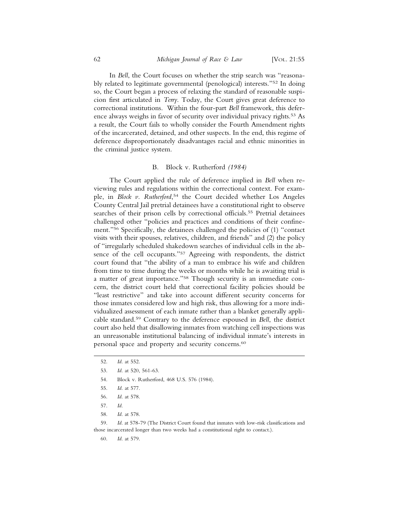In *Bell*, the Court focuses on whether the strip search was "reasonably related to legitimate governmental (penological) interests."52 In doing so, the Court began a process of relaxing the standard of reasonable suspicion first articulated in *Terry*. Today, the Court gives great deference to correctional institutions. Within the four-part *Bell* framework, this deference always weighs in favor of security over individual privacy rights.53 As a result, the Court fails to wholly consider the Fourth Amendment rights of the incarcerated, detained, and other suspects. In the end, this regime of deference disproportionately disadvantages racial and ethnic minorities in the criminal justice system.

## B. Block v. Rutherford *(1984)*

The Court applied the rule of deference implied in *Bell* when reviewing rules and regulations within the correctional context. For example, in *Block v. Rutherford*, 54 the Court decided whether Los Angeles County Central Jail pretrial detainees have a constitutional right to observe searches of their prison cells by correctional officials.55 Pretrial detainees challenged other "policies and practices and conditions of their confinement."56 Specifically, the detainees challenged the policies of (1) "contact visits with their spouses, relatives, children, and friends" and (2) the policy of "irregularly scheduled shakedown searches of individual cells in the absence of the cell occupants."57 Agreeing with respondents, the district court found that "the ability of a man to embrace his wife and children from time to time during the weeks or months while he is awaiting trial is a matter of great importance."58 Though security is an immediate concern, the district court held that correctional facility policies should be "least restrictive" and take into account different security concerns for those inmates considered low and high risk, thus allowing for a more individualized assessment of each inmate rather than a blanket generally applicable standard.59 Contrary to the deference espoused in *Bell*, the district court also held that disallowing inmates from watching cell inspections was an unreasonable institutional balancing of individual inmate's interests in personal space and property and security concerns.60

54. Block v. Rutherford, 468 U.S. 576 (1984).

59. *Id*. at 578-79 (The District Court found that inmates with low-risk classifications and those incarcerated longer than two weeks had a constitutional right to contact.).

60. *Id*. at 579.

<sup>52.</sup> *Id*. at 552.

<sup>53.</sup> *Id*. at 520, 561-63.

<sup>55.</sup> *Id*. at 577.

<sup>56.</sup> *Id*. at 578.

<sup>57.</sup> *Id*.

<sup>58.</sup> *Id*. at 578.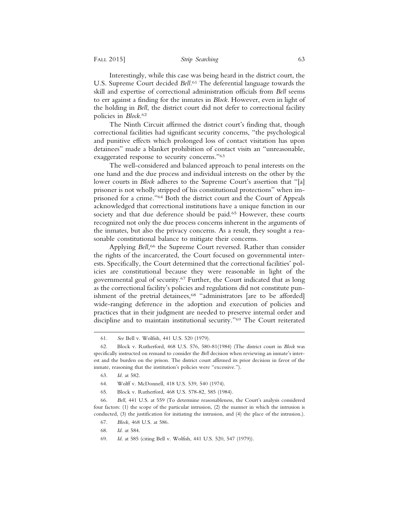Interestingly, while this case was being heard in the district court, the U.S. Supreme Court decided *Bell*. 61 The deferential language towards the skill and expertise of correctional administration officials from *Bell* seems to err against a finding for the inmates in *Block*. However, even in light of the holding in *Bell*, the district court did not defer to correctional facility policies in *Block*. 62

The Ninth Circuit affirmed the district court's finding that, though correctional facilities had significant security concerns, "the psychological and punitive effects which prolonged loss of contact visitation has upon detainees" made a blanket prohibition of contact visits an "unreasonable, exaggerated response to security concerns."63

The well-considered and balanced approach to penal interests on the one hand and the due process and individual interests on the other by the lower courts in *Block* adheres to the Supreme Court's assertion that "[a] prisoner is not wholly stripped of his constitutional protections" when imprisoned for a crime."64 Both the district court and the Court of Appeals acknowledged that correctional institutions have a unique function in our society and that due deference should be paid.<sup>65</sup> However, these courts recognized not only the due process concerns inherent in the arguments of the inmates, but also the privacy concerns. As a result, they sought a reasonable constitutional balance to mitigate their concerns.

Applying *Bell,*66 the Supreme Court reversed. Rather than consider the rights of the incarcerated, the Court focused on governmental interests. Specifically, the Court determined that the correctional facilities' policies are constitutional because they were reasonable in light of the governmental goal of security.67 Further, the Court indicated that as long as the correctional facility's policies and regulations did not constitute punishment of the pretrial detainees,<sup>68</sup> "administrators [are to be afforded] wide-ranging deference in the adoption and execution of policies and practices that in their judgment are needed to preserve internal order and discipline and to maintain institutional security."69 The Court reiterated

<sup>61.</sup> *See* Bell v. Wolfish, 441 U.S. 520 (1979).

<sup>62.</sup> Block v. Rutherford, 468 U.S. 576, 580-81(1984) (The district court in *Block* was specifically instructed on remand to consider the *Bell* decision when reviewing an inmate's interest and the burden on the prison. The district court affirmed its prior decision in favor of the inmate, reasoning that the institution's policies were "excessive.").

<sup>63.</sup> *Id*. at 582.

<sup>64.</sup> Wolff v. McDonnell, 418 U.S. 539, 540 (1974).

<sup>65.</sup> Block v. Rutherford, 468 U.S. 578-82, 585 (1984).

<sup>66.</sup> *Bell*, 441 U.S. at 559 (To determine reasonableness, the Court's analysis considered four factors: (1) the scope of the particular intrusion, (2) the manner in which the intrusion is conducted, (3) the justification for initiating the intrusion, and (4) the place of the intrusion.).

<sup>67.</sup> *Block*, 468 U.S. at 586.

<sup>68.</sup> *Id*. at 584.

<sup>69.</sup> *Id*. at 585 (citing Bell v. Wolfish, 441 U.S. 520, 547 (1979)).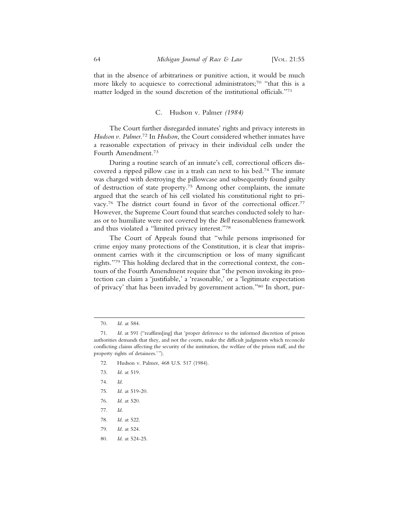that in the absence of arbitrariness or punitive action, it would be much more likely to acquiesce to correctional administrators;<sup>70</sup> "that this is a matter lodged in the sound discretion of the institutional officials."71

## C. Hudson v. Palmer *(1984)*

The Court further disregarded inmates' rights and privacy interests in *Hudson v. Palmer*. 72 In *Hudson*, the Court considered whether inmates have a reasonable expectation of privacy in their individual cells under the Fourth Amendment.73

During a routine search of an inmate's cell, correctional officers discovered a ripped pillow case in a trash can next to his bed.74 The inmate was charged with destroying the pillowcase and subsequently found guilty of destruction of state property.75 Among other complaints, the inmate argued that the search of his cell violated his constitutional right to privacy.<sup>76</sup> The district court found in favor of the correctional officer.<sup>77</sup> However, the Supreme Court found that searches conducted solely to harass or to humiliate were not covered by the *Bell* reasonableness framework and thus violated a "limited privacy interest."78

The Court of Appeals found that "while persons imprisoned for crime enjoy many protections of the Constitution, it is clear that imprisonment carries with it the circumscription or loss of many significant rights."79 This holding declared that in the correctional context, the contours of the Fourth Amendment require that "the person invoking its protection can claim a 'justifiable,' a 'reasonable,' or a 'legitimate expectation of privacy' that has been invaded by government action."80 In short, pur-

- 76. *Id*. at 520.
- 77. *Id*.
- 78. *Id*. at 522.
- 79. *Id*. at 524.
- 80. *Id*. at 524-25.

<sup>70.</sup> *Id*. at 584.

<sup>71.</sup> *Id*. at 591 ("reaffirm[ing] that 'proper deference to the informed discretion of prison authorities demands that they, and not the courts, make the difficult judgments which reconcile conflicting claims affecting the security of the institution, the welfare of the prison staff, and the property rights of detainees.'").

<sup>72.</sup> Hudson v. Palmer, 468 U.S. 517 (1984).

<sup>73.</sup> *Id*. at 519.

<sup>74.</sup> *Id*.

<sup>75.</sup> *Id*. at 519-20.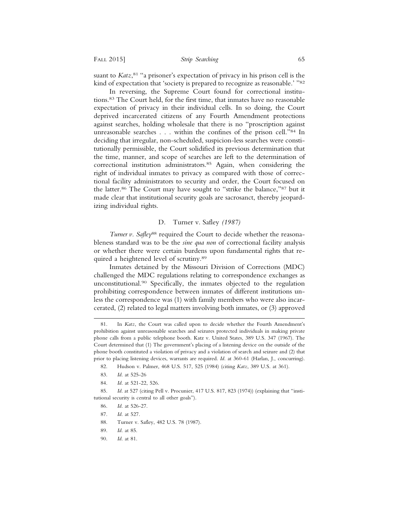suant to *Katz*, 81 "a prisoner's expectation of privacy in his prison cell is the kind of expectation that 'society is prepared to recognize as reasonable.' "82

In reversing, the Supreme Court found for correctional institutions.83 The Court held, for the first time, that inmates have no reasonable expectation of privacy in their individual cells. In so doing, the Court deprived incarcerated citizens of any Fourth Amendment protections against searches, holding wholesale that there is no "proscription against unreasonable searches . . . within the confines of the prison cell."84 In deciding that irregular, non-scheduled, suspicion-less searches were constitutionally permissible, the Court solidified its previous determination that the time, manner, and scope of searches are left to the determination of correctional institution administrators.<sup>85</sup> Again, when considering the right of individual inmates to privacy as compared with those of correctional facility administrators to security and order, the Court focused on the latter.86 The Court may have sought to "strike the balance,"87 but it made clear that institutional security goals are sacrosanct, thereby jeopardizing individual rights.

## D. Turner v. Safley *(1987)*

*Turner v. Safley*<sup>88</sup> required the Court to decide whether the reasonableness standard was to be the *sine qua non* of correctional facility analysis or whether there were certain burdens upon fundamental rights that required a heightened level of scrutiny.89

Inmates detained by the Missouri Division of Corrections (MDC) challenged the MDC regulations relating to correspondence exchanges as unconstitutional.90 Specifically, the inmates objected to the regulation prohibiting correspondence between inmates of different institutions unless the correspondence was (1) with family members who were also incarcerated, (2) related to legal matters involving both inmates, or (3) approved

90. *Id*. at 81.

<sup>81.</sup> In *Katz*, the Court was called upon to decide whether the Fourth Amendment's prohibition against unreasonable searches and seizures protected individuals in making private phone calls from a public telephone booth. Katz v. United States, 389 U.S. 347 (1967). The Court determined that (1) The government's placing of a listening device on the outside of the phone booth constituted a violation of privacy and a violation of search and seizure and (2) that prior to placing listening devices, warrants are required. *Id*. at 360-61 (Harlan, J., concurring).

<sup>82.</sup> Hudson v. Palmer, 468 U.S. 517, 525 (1984) (citing *Katz*, 389 U.S. at 361).

<sup>83.</sup> *Id*. at 525-26

<sup>84.</sup> *Id*. at 521-22, 526.

<sup>85.</sup> *Id*. at 527 (citing Pell v. Procunier, 417 U.S. 817, 823 (1974)) (explaining that "institutional security is central to all other goals").

<sup>86.</sup> *Id*. at 526-27.

<sup>87.</sup> *Id*. at 527.

<sup>88.</sup> Turner v. Safley, 482 U.S. 78 (1987).

<sup>89.</sup> *Id*. at 85.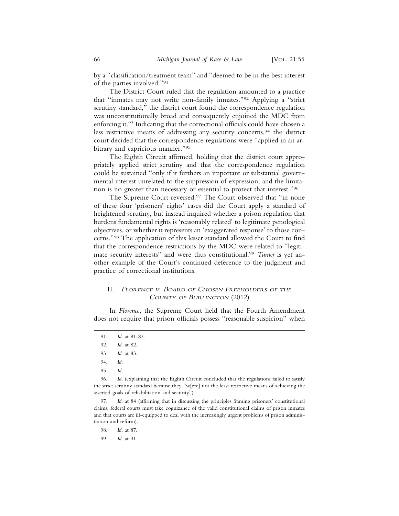by a "classification/treatment team" and "deemed to be in the best interest of the parties involved."91

The District Court ruled that the regulation amounted to a practice that "inmates may not write non-family inmates."92 Applying a "strict scrutiny standard," the district court found the correspondence regulation was unconstitutionally broad and consequently enjoined the MDC from enforcing it.93 Indicating that the correctional officials could have chosen a less restrictive means of addressing any security concerns,94 the district court decided that the correspondence regulations were "applied in an arbitrary and capricious manner."95

The Eighth Circuit affirmed, holding that the district court appropriately applied strict scrutiny and that the correspondence regulation could be sustained "only if it furthers an important or substantial governmental interest unrelated to the suppression of expression, and the limitation is no greater than necessary or essential to protect that interest."96

The Supreme Court reversed.<sup>97</sup> The Court observed that "in none of these four 'prisoners' rights' cases did the Court apply a standard of heightened scrutiny, but instead inquired whether a prison regulation that burdens fundamental rights is 'reasonably related' to legitimate penological objectives, or whether it represents an 'exaggerated response' to those concerns."98 The application of this lesser standard allowed the Court to find that the correspondence restrictions by the MDC were related to "legitimate security interests" and were thus constitutional.99 *Turner* is yet another example of the Court's continued deference to the judgment and practice of correctional institutions.

## II. <sup>F</sup>LORENCE <sup>V</sup>. BOARD OF CHOSEN FREEHOLDERS OF THE <sup>C</sup>OUNTY OF BURLINGTON (2012)

In *Florence*, the Supreme Court held that the Fourth Amendment does not require that prison officials possess "reasonable suspicion" when

<sup>91.</sup> *Id*. at 81-82.

<sup>92.</sup> *Id*. at 82.

<sup>93.</sup> *Id*. at 83.

<sup>94.</sup> *Id*.

<sup>95.</sup> *Id*.

<sup>96.</sup> *Id*. (explaining that the Eighth Circuit concluded that the regulations failed to satisfy the strict scrutiny standard because they "w[ere] not the least restrictive means of achieving the asserted goals of rehabilitation and security").

<sup>97.</sup> *Id*. at 84 (affirming that in discussing the principles framing prisoners' constitutional claims, federal courts must take cognizance of the valid constitutional claims of prison inmates and that courts are ill-equipped to deal with the increasingly urgent problems of prison administration and reform).

<sup>98.</sup> *Id*. at 87.

<sup>99.</sup> *Id*. at 91.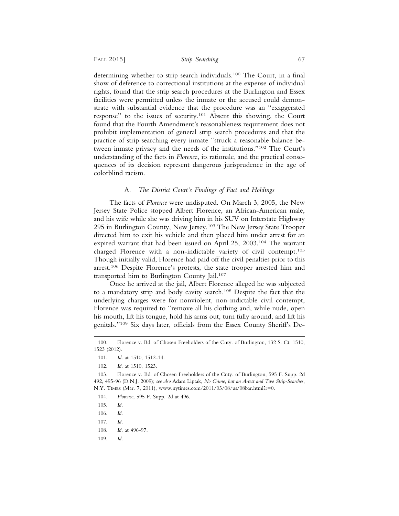determining whether to strip search individuals.100 The Court, in a final show of deference to correctional institutions at the expense of individual rights, found that the strip search procedures at the Burlington and Essex facilities were permitted unless the inmate or the accused could demonstrate with substantial evidence that the procedure was an "exaggerated response" to the issues of security.101 Absent this showing, the Court found that the Fourth Amendment's reasonableness requirement does not prohibit implementation of general strip search procedures and that the practice of strip searching every inmate "struck a reasonable balance between inmate privacy and the needs of the institutions."102 The Court's understanding of the facts in *Florenc*e, its rationale, and the practical consequences of its decision represent dangerous jurisprudence in the age of colorblind racism.

## A. *The District Court's Findings of Fact and Holdings*

The facts of *Florence* were undisputed. On March 3, 2005, the New Jersey State Police stopped Albert Florence, an African-American male, and his wife while she was driving him in his SUV on Interstate Highway 295 in Burlington County, New Jersey.103 The New Jersey State Trooper directed him to exit his vehicle and then placed him under arrest for an expired warrant that had been issued on April 25, 2003.104 The warrant charged Florence with a non-indictable variety of civil contempt.105 Though initially valid, Florence had paid off the civil penalties prior to this arrest.<sup>106</sup> Despite Florence's protests, the state trooper arrested him and transported him to Burlington County Jail.107

Once he arrived at the jail, Albert Florence alleged he was subjected to a mandatory strip and body cavity search.108 Despite the fact that the underlying charges were for nonviolent, non-indictable civil contempt, Florence was required to "remove all his clothing and, while nude, open his mouth, lift his tongue, hold his arms out, turn fully around, and lift his genitals."109 Six days later, officials from the Essex County Sheriff's De-

109. *Id.*

<sup>100.</sup> Florence v. Bd. of Chosen Freeholders of the Cnty. of Burlington, 132 S. Ct. 1510, 1523 (2012).

<sup>101.</sup> *Id*. at 1510, 1512-14.

<sup>102.</sup> *Id*. at 1510, 1523.

<sup>103.</sup> Florence v. Bd. of Chosen Freeholders of the Cnty. of Burlington, 595 F. Supp. 2d 492, 495-96 (D.N.J. 2009); *see also* Adam Liptak, *No Crime, but an Arrest and Two Strip-Searches*, N.Y. TIMES (Mar. 7, 2011), www.nytimes.com/2011/03/08/us/08bar.html?r=0.

<sup>104.</sup> *Florence*, 595 F. Supp. 2d at 496.

<sup>105.</sup> *Id*.

<sup>106.</sup> *Id*.

<sup>107.</sup> *Id.*

<sup>108.</sup> *Id*. at 496-97.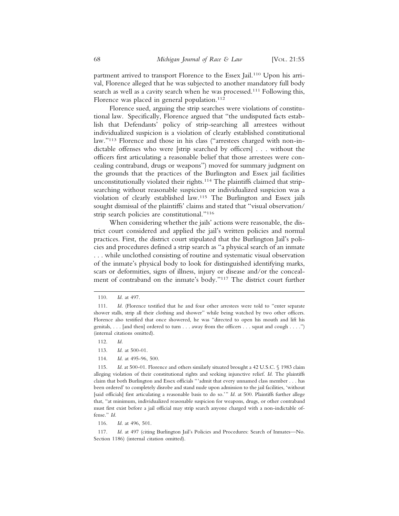partment arrived to transport Florence to the Essex Jail.<sup>110</sup> Upon his arrival, Florence alleged that he was subjected to another mandatory full body search as well as a cavity search when he was processed.<sup>111</sup> Following this, Florence was placed in general population.<sup>112</sup>

Florence sued, arguing the strip searches were violations of constitutional law. Specifically, Florence argued that "the undisputed facts establish that Defendants' policy of strip-searching all arrestees without individualized suspicion is a violation of clearly established constitutional law."113 Florence and those in his class ("arrestees charged with non-indictable offenses who were [strip searched by officers] . . . without the officers first articulating a reasonable belief that those arrestees were concealing contraband, drugs or weapons") moved for summary judgment on the grounds that the practices of the Burlington and Essex jail facilities unconstitutionally violated their rights.114 The plaintiffs claimed that stripsearching without reasonable suspicion or individualized suspicion was a violation of clearly established law.115 The Burlington and Essex jails sought dismissal of the plaintiffs' claims and stated that "visual observation/ strip search policies are constitutional."116

When considering whether the jails' actions were reasonable, the district court considered and applied the jail's written policies and normal practices. First, the district court stipulated that the Burlington Jail's policies and procedures defined a strip search as "a physical search of an inmate . . . while unclothed consisting of routine and systematic visual observation of the inmate's physical body to look for distinguished identifying marks, scars or deformities, signs of illness, injury or disease and/or the concealment of contraband on the inmate's body."117 The district court further

- 112. *Id.*
- 113. *Id*. at 500-01.
- 114. *Id*. at 495-96, 500.

115. *Id.* at 500-01. Florence and others similarly situated brought a 42 U.S.C. § 1983 claim alleging violation of their constitutional rights and seeking injunctive relief. *Id*. The plaintiffs claim that both Burlington and Essex officials "'admit that every unnamed class member . . . has been ordered' to completely disrobe and stand nude upon admission to the jail facilities, 'without [said officials] first articulating a reasonable basis to do so.'" *Id*. at 500. Plaintiffs further allege that, "at minimum, individualized reasonable suspicion for weapons, drugs, or other contraband must first exist before a jail official may strip search anyone charged with a non-indictable offense." *Id*.

116. *Id*. at 496, 501.

117. *Id*. at 497 (citing Burlington Jail's Policies and Procedures: Search of Inmates—No. Section 1186) (internal citation omitted).

<sup>110.</sup> *Id*. at 497.

<sup>111.</sup> *Id*. (Florence testified that he and four other arrestees were told to "enter separate shower stalls, strip all their clothing and shower" while being watched by two other officers. Florence also testified that once showered, he was "directed to open his mouth and lift his genitals, . . . [and then] ordered to turn . . . away from the officers . . . squat and cough . . . .") (internal citations omitted).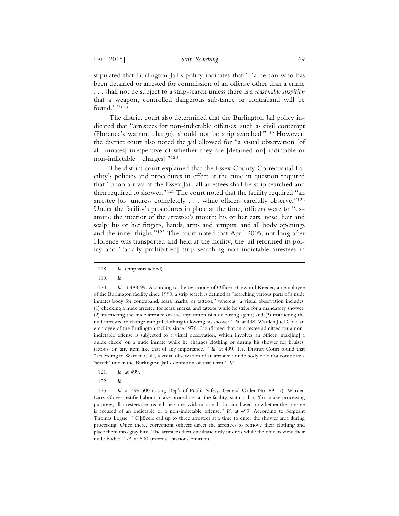stipulated that Burlington Jail's policy indicates that " 'a person who has been detained or arrested for commission of an offense other than a crime . . . shall not be subject to a strip-search unless there is a *reasonable suspicion* that a weapon, controlled dangerous substance or contraband will be found.' "118

The district court also determined that the Burlington Jail policy indicated that "arrestees for non-indictable offenses, such as civil contempt (Florence's warrant charge), should not be strip searched."119 However, the district court also noted the jail allowed for "a visual observation [of all inmates] irrespective of whether they are [detained on] indictable or non-indictable [charges]."120

The district court explained that the Essex County Correctional Facility's policies and procedures in effect at the time in question required that "upon arrival at the Essex Jail, all arrestees shall be strip searched and then required to shower."<sup>121</sup> The court noted that the facility required "an arrestee [to] undress completely . . . while officers carefully observe."122 Under the facility's procedures in place at the time, officers were to "examine the interior of the arrestee's mouth; his or her ears, nose, hair and scalp; his or her fingers, hands, arms and armpits; and all body openings and the inner thighs."123 The court noted that April 2005, not long after Florence was transported and held at the facility, the jail reformed its policy and "facially prohibit[ed] strip searching non-indictable arrestees in

- 121. *Id*. at 499.
- 122. *Id.*

123. *Id*. at 499-500 (citing Dep't of Public Safety: General Order No. 89-17). Warden Larry Glover testified about intake procedures at the facility, stating that "for intake processing purposes, all arrestees are treated the same, without any distinction based on whether the arrestee is accused of an indictable or a non-indictable offense." *Id*. at 499. According to Sergeant Thomas Logue, "[O]fficers call up to three arrestees at a time to enter the shower area during processing. Once there, corrections officers direct the arrestees to remove their clothing and place them into gray bins. The arrestees then simultaneously undress while the officers view their nude bodies." *Id*. at 500 (internal citations omitted).

<sup>118.</sup> *Id*. (emphasis added).

<sup>119.</sup> *Id.*

<sup>120.</sup> *Id*. at 498-99. According to the testimony of Officer Haywood Reeder, an employee of the Burlington facility since 1990, a strip search is defined as "searching various parts of a nude inmates body for contraband, scars, marks, or tattoos," whereas "a visual observation includes: (1) checking a nude arrestee for scars, marks, and tattoos while he strips for a mandatory shower; (2) instructing the nude arrestee on the application of a delousing agent; and (3) instructing the nude arrestee to change into jail clothing following his shower." *Id*. at 498. Warden Juel Cole, an employee of the Burlington facility since 1976, "confirmed that an arrestee admitted for a nonindictable offense is subjected to a visual observation, which involves an officer 'mak[ing] a quick check' on a nude inmate while he changes clothing or during his shower for bruises, tattoos, or 'any item like that of any importance.'" *Id*. at 499. The District Court found that "according to Warden Cole, a visual observation of an arrestee's nude body does not constitute a 'search' under the Burlington Jail's definition of that term." *Id*.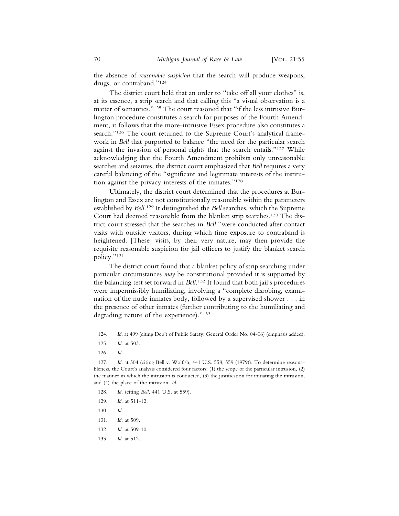the absence of *reasonable suspicion* that the search will produce weapons, drugs, or contraband."124

The district court held that an order to "take off all your clothes" is, at its essence, a strip search and that calling this "a visual observation is a matter of semantics."125 The court reasoned that "if the less intrusive Burlington procedure constitutes a search for purposes of the Fourth Amendment, it follows that the more-intrusive Essex procedure also constitutes a search."126 The court returned to the Supreme Court's analytical framework in *Bell* that purported to balance "the need for the particular search against the invasion of personal rights that the search entails."127 While acknowledging that the Fourth Amendment prohibits only unreasonable searches and seizures, the district court emphasized that *Bell* requires a very careful balancing of the "significant and legitimate interests of the institution against the privacy interests of the inmates."128

Ultimately, the district court determined that the procedures at Burlington and Essex are not constitutionally reasonable within the parameters established by *Bell*. 129 It distinguished the *Bell* searches, which the Supreme Court had deemed reasonable from the blanket strip searches.130 The district court stressed that the searches in *Bell* "were conducted after contact visits with outside visitors, during which time exposure to contraband is heightened. [These] visits, by their very nature, may then provide the requisite reasonable suspicion for jail officers to justify the blanket search policy."131

The district court found that a blanket policy of strip searching under particular circumstances *may* be constitutional provided it is supported by the balancing test set forward in *Bell*. 132 It found that both jail's procedures were impermissibly humiliating, involving a "complete disrobing, examination of the nude inmates body, followed by a supervised shower . . . in the presence of other inmates (further contributing to the humiliating and degrading nature of the experience)."133

- 128. *Id*. (citing *Bell*, 441 U.S. at 559).
- 129. *Id*. at 511-12.
- 130. *Id*.
- 131. *Id*. at 509.
- 132. *Id*. at 509-10.
- 133. *Id*. at 512.

<sup>124.</sup> *Id*. at 499 (citing Dep't of Public Safety: General Order No. 04-06) (emphasis added).

<sup>125.</sup> *Id*. at 503.

<sup>126.</sup> *Id.*

<sup>127.</sup> *Id*. at 504 (citing Bell v. Wolfish, 441 U.S. 558, 559 (1979)). To determine reasonableness, the Court's analysis considered four factors: (1) the scope of the particular intrusion, (2) the manner in which the intrusion is conducted, (3) the justification for initiating the intrusion, and (4) the place of the intrusion. *Id*.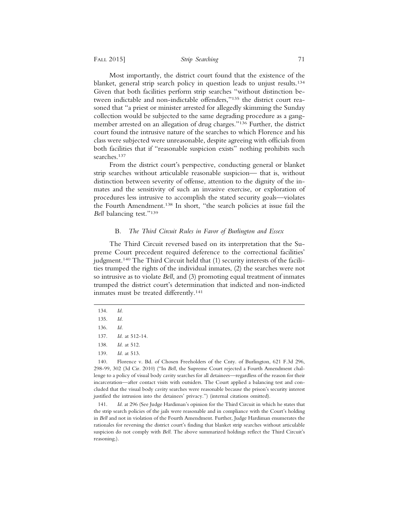Most importantly, the district court found that the existence of the blanket, general strip search policy in question leads to unjust results.134 Given that both facilities perform strip searches "without distinction between indictable and non-indictable offenders,"135 the district court reasoned that "a priest or minister arrested for allegedly skimming the Sunday collection would be subjected to the same degrading procedure as a gangmember arrested on an allegation of drug charges."136 Further, the district court found the intrusive nature of the searches to which Florence and his class were subjected were unreasonable, despite agreeing with officials from both facilities that if "reasonable suspicion exists" nothing prohibits such searches.137

From the district court's perspective, conducting general or blanket strip searches without articulable reasonable suspicion— that is, without distinction between severity of offense, attention to the dignity of the inmates and the sensitivity of such an invasive exercise, or exploration of procedures less intrusive to accomplish the stated security goals—violates the Fourth Amendment.138 In short, "the search policies at issue fail the *Bell* balancing test."139

## B. *The Third Circuit Rules in Favor of Burlington and Essex*

The Third Circuit reversed based on its interpretation that the Supreme Court precedent required deference to the correctional facilities' judgment.140 The Third Circuit held that (1) security interests of the facilities trumped the rights of the individual inmates, (2) the searches were not so intrusive as to violate *Bell*, and (3) promoting equal treatment of inmates trumped the district court's determination that indicted and non-indicted inmates must be treated differently.<sup>141</sup>

141. *Id*. at 296 (See Judge Hardiman's opinion for the Third Circuit in which he states that the strip search policies of the jails were reasonable and in compliance with the Court's holding in *Bell* and not in violation of the Fourth Amendment. Further, Judge Hardiman enumerates the rationales for reversing the district court's finding that blanket strip searches without articulable suspicion do not comply with *Bell*. The above summarized holdings reflect the Third Circuit's reasoning.).

<sup>134.</sup> *Id*.

<sup>135.</sup> *Id.*

<sup>136.</sup> *Id.*

<sup>137.</sup> *Id*. at 512-14.

<sup>138.</sup> *Id*. at 512.

<sup>139.</sup> *Id*. at 513.

<sup>140.</sup> Florence v. Bd. of Chosen Freeholders of the Cnty. of Burlington, 621 F.3d 296, 298-99, 302 (3d Cir. 2010) ("In *Bell*, the Supreme Court rejected a Fourth Amendment challenge to a policy of visual body cavity searches for all detainees—regardless of the reason for their incarceration—after contact visits with outsiders. The Court applied a balancing test and concluded that the visual body cavity searches were reasonable because the prison's security interest justified the intrusion into the detainees' privacy.") (internal citations omitted).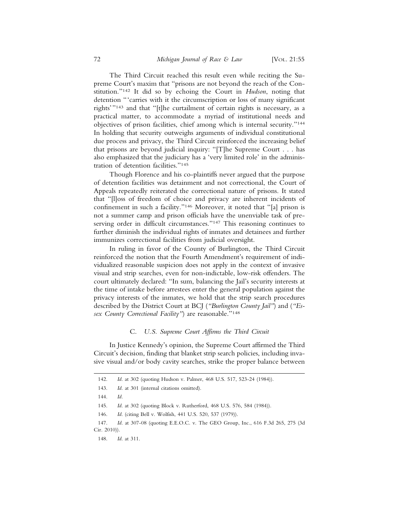The Third Circuit reached this result even while reciting the Supreme Court's maxim that "prisons are not beyond the reach of the Constitution."142 It did so by echoing the Court in *Hudson*, noting that detention "'carries with it the circumscription or loss of many significant rights'"143 and that "[t]he curtailment of certain rights is necessary, as a practical matter, to accommodate a myriad of institutional needs and objectives of prison facilities, chief among which is internal security."144 In holding that security outweighs arguments of individual constitutional due process and privacy, the Third Circuit reinforced the increasing belief that prisons are beyond judicial inquiry: "[T]he Supreme Court . . . has also emphasized that the judiciary has a 'very limited role' in the administration of detention facilities."145

Though Florence and his co-plaintiffs never argued that the purpose of detention facilities was detainment and not correctional, the Court of Appeals repeatedly reiterated the correctional nature of prisons. It stated that "[l]oss of freedom of choice and privacy are inherent incidents of confinement in such a facility."146 Moreover, it noted that "[a] prison is not a summer camp and prison officials have the unenviable task of preserving order in difficult circumstances."147 This reasoning continues to further diminish the individual rights of inmates and detainees and further immunizes correctional facilities from judicial oversight.

In ruling in favor of the County of Burlington, the Third Circuit reinforced the notion that the Fourth Amendment's requirement of individualized reasonable suspicion does not apply in the context of invasive visual and strip searches, even for non-indictable, low-risk offenders. The court ultimately declared: "In sum, balancing the Jail's security interests at the time of intake before arrestees enter the general population against the privacy interests of the inmates, we hold that the strip search procedures described by the District Court at BCJ (*"Burlington County Jail"*) and (*"Essex County Correctional Facility"*) are reasonable."148

#### C. *U.S. Supreme Court Affirms the Third Circuit*

In Justice Kennedy's opinion, the Supreme Court affirmed the Third Circuit's decision, finding that blanket strip search policies, including invasive visual and/or body cavity searches, strike the proper balance between

<sup>142.</sup> *Id*. at 302 (quoting Hudson v. Palmer, 468 U.S. 517, 523-24 (1984)).

<sup>143.</sup> *Id*. at 301 (internal citations omitted).

<sup>144.</sup> *Id.*

<sup>145.</sup> *Id*. at 302 (quoting Block v. Rutherford, 468 U.S. 576, 584 (1984)).

<sup>146.</sup> *Id*. (citing Bell v. Wolfish, 441 U.S. 520, 537 (1979)).

<sup>147.</sup> *Id*. at 307-08 (quoting E.E.O.C. v. The GEO Group, Inc., 616 F.3d 265, 275 (3d Cir. 2010)).

<sup>148.</sup> *Id*. at 311.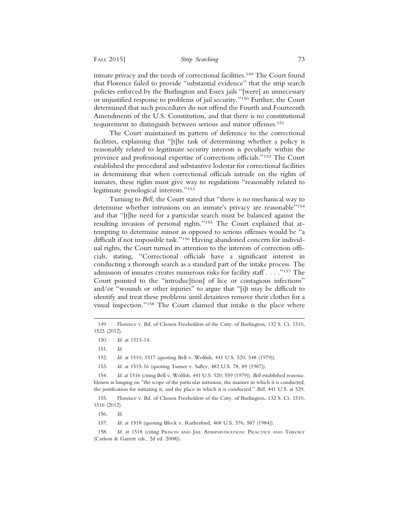inmate privacy and the needs of correctional facilities.<sup>149</sup> The Court found that Florence failed to provide "substantial evidence" that the strip search policies enforced by the Burlington and Essex jails "[were] an unnecessary or unjustified response to problems of jail security."150 Further, the Court determined that such procedures do not offend the Fourth and Fourteenth Amendments of the U.S. Constitution, and that there is no constitutional requirement to distinguish between serious and minor offenses.151

The Court maintained its pattern of deference to the correctional facilities, explaining that "[t]he task of determining whether a policy is reasonably related to legitimate security interests is peculiarly within the province and professional expertise of corrections officials."152 The Court established the procedural and substantive lodestar for correctional facilities in determining that when correctional officials intrude on the rights of inmates, these rights must give way to regulations "reasonably related to legitimate penological interests."153

Turning to *Bell*, the Court stated that "there is no mechanical way to determine whether intrusions on an inmate's privacy are reasonable"154 and that "[t]he need for a particular search must be balanced against the resulting invasion of personal rights."155 The Court explained that attempting to determine minor as opposed to serious offenses would be "a difficult if not impossible task."156 Having abandoned concern for individual rights, the Court turned its attention to the interests of correction officials, stating, "Correctional officials have a significant interest in conducting a thorough search as a standard part of the intake process. The admission of inmates creates numerous risks for facility staff . . . ."157 The Court pointed to the "introduc[tion] of lice or contagious infections" and/or "wounds or other injuries" to argue that "[i]t may be difficult to identify and treat these problems until detainees remove their clothes for a visual inspection."158 The Court claimed that intake is the place where

152. *Id*. at 1510, 1517 (quoting Bell v. Wolfish, 441 U.S. 520, 548 (1979)).

153. *Id*. at 1515-16 (quoting Turner v. Safley, 482 U.S. 78, 89 (1987)).

154. *Id*. at 1516 (citing Bell v. Wolfish, 441 U.S. 520, 559 (1979)). *Bell* established reasonableness as hinging on "the scope of the particular intrusion, the manner in which it is conducted, the justification for initiating it, and the place in which it is conducted." *Bell*, 441 U.S. at 529.

155. Florence v. Bd. of Chosen Freeholders of the Cnty. of Burlington, 132 S. Ct. 1510, 1516 (2012).

156. *Id.*

157. *Id*. at 1518 (quoting Block v. Rutherford, 468 U.S. 576, 587 (1984)).

158. *Id*. at 1518 (citing PRISON AND JAIL ADMINISTRATION: PRACTICE AND THEORY (Carlson & Garrett eds., 2d ed. 2008)).

<sup>149.</sup> Florence v. Bd. of Chosen Freeholders of the Cnty. of Burlington, 132 S. Ct. 1510, 1523 (2012).

<sup>150.</sup> *Id*. at 1513-14.

<sup>151.</sup> *Id.*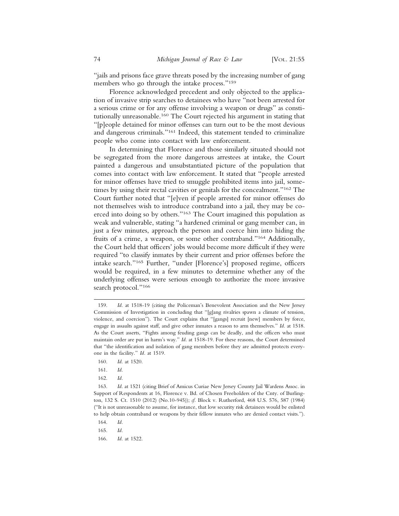"jails and prisons face grave threats posed by the increasing number of gang members who go through the intake process."159

Florence acknowledged precedent and only objected to the application of invasive strip searches to detainees who have "not been arrested for a serious crime or for any offense involving a weapon or drugs" as constitutionally unreasonable.160 The Court rejected his argument in stating that "[p]eople detained for minor offenses can turn out to be the most devious and dangerous criminals."161 Indeed, this statement tended to criminalize people who come into contact with law enforcement.

In determining that Florence and those similarly situated should not be segregated from the more dangerous arrestees at intake, the Court painted a dangerous and unsubstantiated picture of the population that comes into contact with law enforcement. It stated that "people arrested for minor offenses have tried to smuggle prohibited items into jail, sometimes by using their rectal cavities or genitals for the concealment."162 The Court further noted that "[e]ven if people arrested for minor offenses do not themselves wish to introduce contraband into a jail, they may be coerced into doing so by others."163 The Court imagined this population as weak and vulnerable, stating "a hardened criminal or gang member can, in just a few minutes, approach the person and coerce him into hiding the fruits of a crime, a weapon, or some other contraband."164 Additionally, the Court held that officers' jobs would become more difficult if they were required "to classify inmates by their current and prior offenses before the intake search."165 Further, "under [Florence's] proposed regime, officers would be required, in a few minutes to determine whether any of the underlying offenses were serious enough to authorize the more invasive search protocol."166

- 160. *Id*. at 1520.
- 161. *Id*.
- 162. *Id.*

164. *Id.*

165. *Id.*

166. *Id*. at 1522.

<sup>159.</sup> *Id*. at 1518-19 (citing the Policeman's Benevolent Association and the New Jersey Commission of Investigation in concluding that "[g]ang rivalries spawn a climate of tension, violence, and coercion"). The Court explains that "[gangs] recruit [new] members by force, engage in assaults against staff, and give other inmates a reason to arm themselves." *Id*. at 1518. As the Court asserts, "Fights among feuding gangs can be deadly, and the officers who must maintain order are put in harm's way." *Id*. at 1518-19. For these reasons, the Court determined that "the identification and isolation of gang members before they are admitted protects everyone in the facility." *Id*. at 1519.

<sup>163.</sup> *Id*. at 1521 (citing Brief of Amicus Curiae New Jersey County Jail Wardens Assoc. in Support of Respondents at 16, Florence v. Bd. of Chosen Freeholders of the Cnty. of Burlington, 132 S. Ct. 1510 (2012) (No.10-945)); *cf.* Block v. Rutherford, 468 U.S. 576, 587 (1984) ("It is not unreasonable to assume, for instance, that low security risk detainees would be enlisted to help obtain contraband or weapons by their fellow inmates who are denied contact visits.").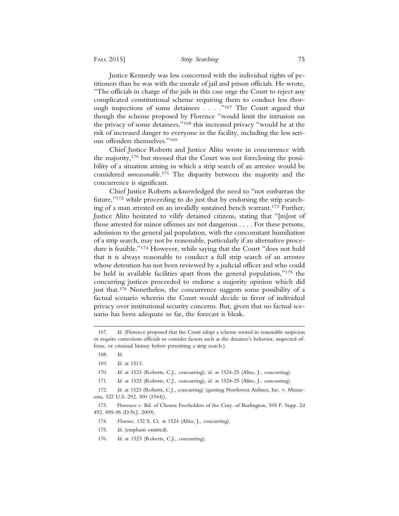Justice Kennedy was less concerned with the individual rights of petitioners than he was with the morale of jail and prison officials. He wrote, "The officials in charge of the jails in this case urge the Court to reject any complicated constitutional scheme requiring them to conduct less thorough inspections of some detainees . . . ."167 The Court argued that though the scheme proposed by Florence "would limit the intrusion on the privacy of some detainees,"168 this increased privacy "would be at the risk of increased danger to everyone in the facility, including the less serious offenders themselves."169

Chief Justice Roberts and Justice Alito wrote in concurrence with the majority,170 but stressed that the Court was not foreclosing the possibility of a situation arising in which a strip search of an arrestee would be considered *unreasonable*. 171 The disparity between the majority and the concurrence is significant.

Chief Justice Roberts acknowledged the need to "not embarrass the future,"172 while proceeding to do just that by endorsing the strip searching of a man arrested on an invalidly sustained bench warrant.173 Further, Justice Alito hesitated to vilify detained citizens, stating that "[m]ost of those arrested for minor offenses are not dangerous . . . . For these persons, admission to the general jail population, with the concomitant humiliation of a strip search, may not be reasonable, particularly if an alternative procedure is feasible."174 However, while saying that the Court "does not hold that it is always reasonable to conduct a full strip search of an arrestee whose detention has not been reviewed by a judicial officer and who could be held in available facilities apart from the general population,"175 the concurring justices proceeded to endorse a majority opinion which did just that.176 Nonetheless, the concurrence suggests some possibility of a factual scenario wherein the Court would decide in favor of individual privacy over institutional security concerns. But, given that no factual scenario has been adequate so far, the forecast is bleak.

- 174. *Florence*, 132 S. Ct. at 1524 (Alito, J., concurring).
- 175. *Id*. (emphasis omitted).
- 176. *Id*. at 1523 (Roberts, C.J., concurring).

<sup>167.</sup> *Id*. (Florence proposed that the Court adopt a scheme rooted in reasonable suspicion or require corrections officials to consider factors such as the detainee's behavior, suspected offense, or criminal history before permitting a strip search.).

<sup>168.</sup> *Id.*

<sup>169.</sup> *Id*. at 1513.

<sup>170.</sup> *Id*. at 1523 (Roberts, C.J., concurring); *id*. at 1524-25 (Alito, J., concurring).

<sup>171.</sup> *Id*. at 1523 (Roberts, C.J., concurring); *id*. at 1524-25 (Alito, J., concurring).

<sup>172.</sup> *Id*. at 1523 (Roberts, C.J., concurring) (quoting Northwest Airlines, Inc. v. Minnesota, 322 U.S. 292, 300 (1944)).

<sup>173.</sup> Florence v. Bd. of Chosen Freeholders of the Cnty. of Burlington, 595 F. Supp. 2d 492, 495-96 (D.N.J. 2009).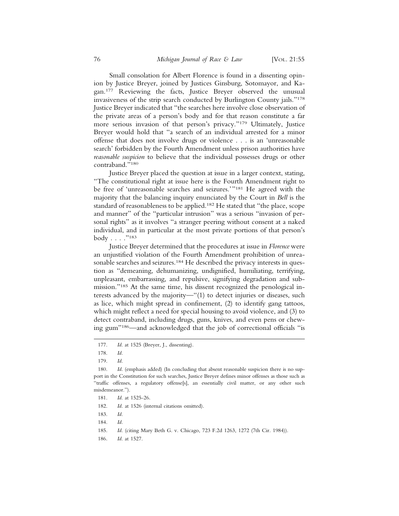Small consolation for Albert Florence is found in a dissenting opinion by Justice Breyer, joined by Justices Ginsburg, Sotomayor, and Kagan.177 Reviewing the facts, Justice Breyer observed the unusual invasiveness of the strip search conducted by Burlington County jails."178 Justice Breyer indicated that "the searches here involve close observation of the private areas of a person's body and for that reason constitute a far more serious invasion of that person's privacy."179 Ultimately, Justice Breyer would hold that "a search of an individual arrested for a minor offense that does not involve drugs or violence . . . is an 'unreasonable search' forbidden by the Fourth Amendment unless prison authorities have *reasonable suspicion* to believe that the individual possesses drugs or other contraband."180

Justice Breyer placed the question at issue in a larger context, stating, "The constitutional right at issue here is the Fourth Amendment right to be free of 'unreasonable searches and seizures.'"181 He agreed with the majority that the balancing inquiry enunciated by the Court in *Bell* is the standard of reasonableness to be applied.182 He stated that "the place, scope and manner" of the "particular intrusion" was a serious "invasion of personal rights" as it involves "a stranger peering without consent at a naked individual, and in particular at the most private portions of that person's  $body \dots$ ."183

Justice Breyer determined that the procedures at issue in *Florence* were an unjustified violation of the Fourth Amendment prohibition of unreasonable searches and seizures.<sup>184</sup> He described the privacy interests in question as "demeaning, dehumanizing, undignified, humiliating, terrifying, unpleasant, embarrassing, and repulsive, signifying degradation and submission."185 At the same time, his dissent recognized the penological interests advanced by the majority—"(1) to detect injuries or diseases, such as lice, which might spread in confinement, (2) to identify gang tattoos, which might reflect a need for special housing to avoid violence, and (3) to detect contraband, including drugs, guns, knives, and even pens or chewing gum"186—and acknowledged that the job of correctional officials "is

- 185. *Id*. (citing Mary Beth G. v. Chicago, 723 F.2d 1263, 1272 (7th Cir. 1984)).
- 186. *Id*. at 1527.

<sup>177.</sup> *Id*. at 1525 (Breyer, J., dissenting).

<sup>178.</sup> *Id.*

<sup>179.</sup> *Id*.

<sup>180.</sup> *Id*. (emphasis added) (In concluding that absent reasonable suspicion there is no support in the Constitution for such searches, Justice Breyer defines minor offenses as those such as "traffic offenses, a regulatory offense[s], an essentially civil matter, or any other such misdemeanor.").

<sup>181.</sup> *Id*. at 1525-26.

<sup>182.</sup> *Id*. at 1526 (internal citations omitted).

<sup>183.</sup> *Id.*

<sup>184.</sup> *Id.*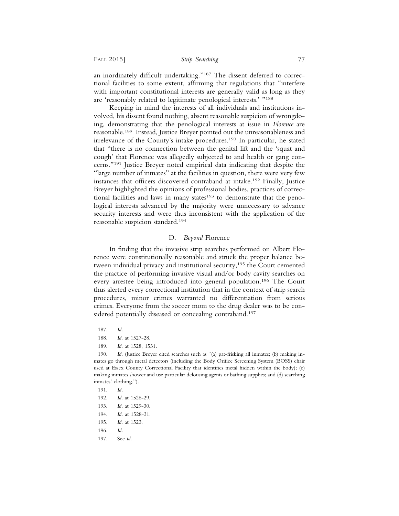an inordinately difficult undertaking."187 The dissent deferred to correctional facilities to some extent, affirming that regulations that "interfere with important constitutional interests are generally valid as long as they are 'reasonably related to legitimate penological interests.' "188

Keeping in mind the interests of all individuals and institutions involved, his dissent found nothing, absent reasonable suspicion of wrongdoing, demonstrating that the penological interests at issue in *Florence* are reasonable.189 Instead, Justice Breyer pointed out the unreasonableness and irrelevance of the County's intake procedures.190 In particular, he stated that "there is no connection between the genital lift and the 'squat and cough' that Florence was allegedly subjected to and health or gang concerns."191 Justice Breyer noted empirical data indicating that despite the "large number of inmates" at the facilities in question, there were very few instances that officers discovered contraband at intake.192 Finally, Justice Breyer highlighted the opinions of professional bodies, practices of correctional facilities and laws in many states<sup>193</sup> to demonstrate that the penological interests advanced by the majority were unnecessary to advance security interests and were thus inconsistent with the application of the reasonable suspicion standard.194

### D. *Beyond* Florence

In finding that the invasive strip searches performed on Albert Florence were constitutionally reasonable and struck the proper balance between individual privacy and institutional security,<sup>195</sup> the Court cemented the practice of performing invasive visual and/or body cavity searches on every arrestee being introduced into general population.196 The Court thus alerted every correctional institution that in the context of strip search procedures, minor crimes warranted no differentiation from serious crimes. Everyone from the soccer mom to the drug dealer was to be considered potentially diseased or concealing contraband.<sup>197</sup>

197. See *id.*

<sup>187.</sup> *Id.*

<sup>188.</sup> *Id*. at 1527-28.

<sup>189.</sup> *Id*. at 1528, 1531.

<sup>190.</sup> *Id*. (Justice Breyer cited searches such as "(a) pat-frisking all inmates; (b) making inmates go through metal detectors (including the Body Orifice Screening System (BOSS) chair used at Essex County Correctional Facility that identifies metal hidden within the body); (c) making inmates shower and use particular delousing agents or bathing supplies; and (d) searching inmates' clothing.").

<sup>191.</sup> *Id.*

<sup>192.</sup> *Id*. at 1528-29.

<sup>193.</sup> *Id*. at 1529-30.

<sup>194.</sup> *Id.* at 1528-31.

<sup>195.</sup> *Id*. at 1523.

<sup>196.</sup> *Id.*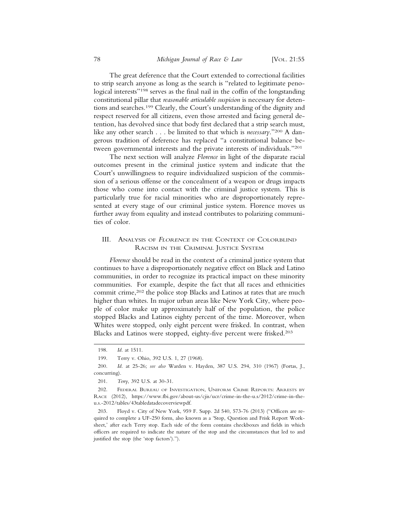The great deference that the Court extended to correctional facilities to strip search anyone as long as the search is "related to legitimate penological interests"<sup>198</sup> serves as the final nail in the coffin of the longstanding constitutional pillar that *reasonable articulable suspicion* is necessary for detentions and searches.199 Clearly, the Court's understanding of the dignity and respect reserved for all citizens, even those arrested and facing general detention, has devolved since that body first declared that a strip search must, like any other search . . . be limited to that which is *necessary*."200 A dangerous tradition of deference has replaced "a constitutional balance between governmental interests and the private interests of individuals."201

The next section will analyze *Florence* in light of the disparate racial outcomes present in the criminal justice system and indicate that the Court's unwillingness to require individualized suspicion of the commission of a serious offense or the concealment of a weapon or drugs impacts those who come into contact with the criminal justice system. This is particularly true for racial minorities who are disproportionately represented at every stage of our criminal justice system. Florence moves us further away from equality and instead contributes to polarizing communities of color.

## III. ANALYSIS OF FLORENCE IN THE CONTEXT OF COLORBLIND RACISM IN THE CRIMINAL JUSTICE SYSTEM

*Florence* should be read in the context of a criminal justice system that continues to have a disproportionately negative effect on Black and Latino communities, in order to recognize its practical impact on these minority communities. For example, despite the fact that all races and ethnicities commit crime,<sup>202</sup> the police stop Blacks and Latinos at rates that are much higher than whites. In major urban areas like New York City, where people of color make up approximately half of the population, the police stopped Blacks and Latinos eighty percent of the time. Moreover, when Whites were stopped, only eight percent were frisked. In contrast, when Blacks and Latinos were stopped, eighty-five percent were frisked.203

<sup>198.</sup> *Id*. at 1511.

<sup>199.</sup> Terry v. Ohio, 392 U.S. 1, 27 (1968).

<sup>200.</sup> *Id*. at 25-26; *see also* Warden v. Hayden, 387 U.S. 294, 310 (1967) (Fortas, J., concurring).

<sup>201.</sup> *Terry*, 392 U.S. at 30-31.

<sup>202.</sup> FEDERAL BUREAU OF INVESTIGATION, UNIFORM CRIME REPORTS: ARRESTS BY RACE (2012), https://www.fbi.gov/about-us/cjis/ucr/crime-in-the-u.s/2012/crime-in-theu.s.-2012/tables/43tabledatadecoverviewpdf.

<sup>203.</sup> Floyd v. City of New York, 959 F. Supp. 2d 540, 573-76 (2013) ("Officers are required to complete a UF-250 form, also known as a 'Stop, Question and Frisk Report Worksheet,' after each Terry stop. Each side of the form contains checkboxes and fields in which officers are required to indicate the nature of the stop and the circumstances that led to and justified the stop (the 'stop factors').").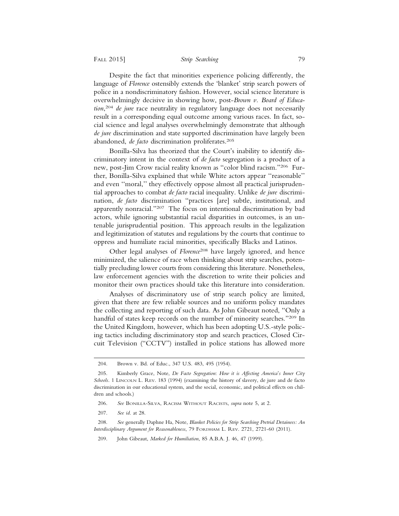Despite the fact that minorities experience policing differently, the language of *Florence* ostensibly extends the 'blanket' strip search powers of police in a nondiscriminatory fashion. However, social science literature is overwhelmingly decisive in showing how, post-*Brown v. Board of Education*, <sup>204</sup> *de jure* race neutrality in regulatory language does not necessarily result in a corresponding equal outcome among various races. In fact, social science and legal analyses overwhelmingly demonstrate that although *de jure* discrimination and state supported discrimination have largely been abandoned, *de facto* discrimination proliferates.<sup>205</sup>

Bonilla-Silva has theorized that the Court's inability to identify discriminatory intent in the context of *de facto* segregation is a product of a new, post-Jim Crow racial reality known as "color blind racism."206 Further, Bonilla-Silva explained that while White actors appear ''reasonable'' and even ''moral,'' they effectively oppose almost all practical jurisprudential approaches to combat *de facto* racial inequality. Unlike *de jure* discrimination, *de facto* discrimination "practices [are] subtle, institutional, and apparently nonracial."207 The focus on intentional discrimination by bad actors, while ignoring substantial racial disparities in outcomes, is an untenable jurisprudential position. This approach results in the legalization and legitimization of statutes and regulations by the courts that continue to oppress and humiliate racial minorities, specifically Blacks and Latinos.

Other legal analyses of *Florence*208 have largely ignored, and hence minimized, the salience of race when thinking about strip searches, potentially precluding lower courts from considering this literature. Nonetheless, law enforcement agencies with the discretion to write their policies and monitor their own practices should take this literature into consideration.

Analyses of discriminatory use of strip search policy are limited, given that there are few reliable sources and no uniform policy mandates the collecting and reporting of such data. As John Gibeaut noted, "Only a handful of states keep records on the number of minority searches."209 In the United Kingdom, however, which has been adopting U.S.-style policing tactics including discriminatory stop and search practices, Closed Circuit Television ("CCTV") installed in police stations has allowed more

<sup>204.</sup> Brown v. Bd. of Educ., 347 U.S. 483, 495 (1954).

<sup>205.</sup> Kimberly Grace, Note, *De Facto Segregation*: *How it is Affecting America*'*s Inner City Schools*. 1 LINCOLN L. REV. 183 (1994) (examining the history of slavery, de jure and de facto discrimination in our educational system, and the social, economic, and political effects on children and schools.)

<sup>206.</sup> *See* BONILLA-SILVA, RACISM WITHOUT RACISTS, *supra* note 5, at 2.

<sup>207.</sup> *See id*. at 28.

<sup>208.</sup> *See* generally Daphne Ha, Note, *Blanket Policies for Strip Searching Pretrial Detainees: An Interdisciplinary Argument for Reasonableness*, 79 FORDHAM L. REV. 2721, 2721-60 (2011).

<sup>209.</sup> John Gibeaut, *Marked for Humiliation*, 85 A.B.A. J. 46, 47 (1999).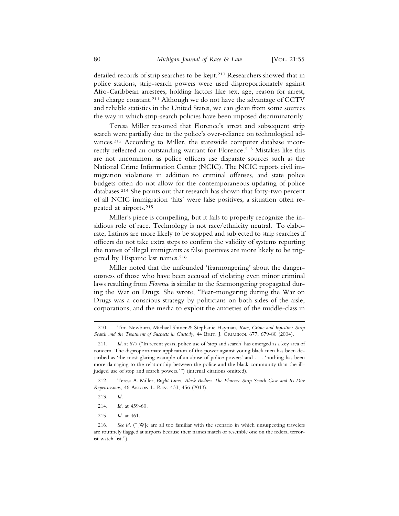detailed records of strip searches to be kept.210 Researchers showed that in police stations, strip-search powers were used disproportionately against Afro-Caribbean arrestees, holding factors like sex, age, reason for arrest, and charge constant.211 Although we do not have the advantage of CCTV and reliable statistics in the United States, we can glean from some sources the way in which strip-search policies have been imposed discriminatorily.

Teresa Miller reasoned that Florence's arrest and subsequent strip search were partially due to the police's over-reliance on technological advances.<sup>212</sup> According to Miller, the statewide computer database incorrectly reflected an outstanding warrant for Florence.213 Mistakes like this are not uncommon, as police officers use disparate sources such as the National Crime Information Center (NCIC). The NCIC reports civil immigration violations in addition to criminal offenses, and state police budgets often do not allow for the contemporaneous updating of police databases.214 She points out that research has shown that forty-two percent of all NCIC immigration 'hits' were false positives, a situation often repeated at airports.215

Miller's piece is compelling, but it fails to properly recognize the insidious role of race. Technology is not race/ethnicity neutral. To elaborate, Latinos are more likely to be stopped and subjected to strip searches if officers do not take extra steps to confirm the validity of systems reporting the names of illegal immigrants as false positives are more likely to be triggered by Hispanic last names.<sup>216</sup>

Miller noted that the unfounded 'fearmongering' about the dangerousness of those who have been accused of violating even minor criminal laws resulting from *Florence* is similar to the fearmongering propagated during the War on Drugs. She wrote, "Fear-mongering during the War on Drugs was a conscious strategy by politicians on both sides of the aisle, corporations, and the media to exploit the anxieties of the middle-class in

212. Teresa A. Miller, *Bright Lines, Black Bodies: The Florence Strip Search Case and Its Dire Repercussions*, 46 AKRON L. REV. 433, 456 (2013).

- 213. *Id*.
- 214. *Id*. at 459-60.
- 215. *Id*. at 461.

216. *See id.* ("[W]e are all too familiar with the scenario in which unsuspecting travelers are routinely flagged at airports because their names match or resemble one on the federal terrorist watch list.").

<sup>210.</sup> Tim Newburn, Michael Shiner & Stephanie Hayman, *Race*, *Crime and Injustice*? *Strip Search and the Treatment of Suspects in Custody*, 44 BRIT. J. CRIMINOL 677, 679-80 (2004).

<sup>211.</sup> *Id*. at 677 ("In recent years, police use of 'stop and search' has emerged as a key area of concern. The disproportionate application of this power against young black men has been described as 'the most glaring example of an abuse of police powers' and . . . 'nothing has been more damaging to the relationship between the police and the black community than the illjudged use of stop and search powers.'") (internal citations omitted).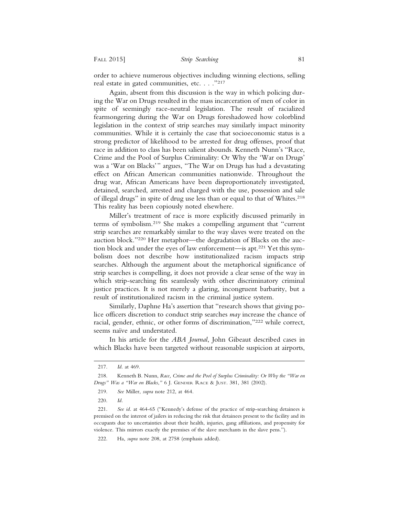order to achieve numerous objectives including winning elections, selling real estate in gated communities, etc. . . ."217

Again, absent from this discussion is the way in which policing during the War on Drugs resulted in the mass incarceration of men of color in spite of seemingly race-neutral legislation. The result of racialized fearmongering during the War on Drugs foreshadowed how colorblind legislation in the context of strip searches may similarly impact minority communities. While it is certainly the case that socioeconomic status is a strong predictor of likelihood to be arrested for drug offenses, proof that race in addition to class has been salient abounds. Kenneth Nunn's "Race, Crime and the Pool of Surplus Criminality: Or Why the 'War on Drugs' was a 'War on Blacks'" argues, "The War on Drugs has had a devastating effect on African American communities nationwide. Throughout the drug war, African Americans have been disproportionately investigated, detained, searched, arrested and charged with the use, possession and sale of illegal drugs" in spite of drug use less than or equal to that of Whites.218 This reality has been copiously noted elsewhere.

Miller's treatment of race is more explicitly discussed primarily in terms of symbolism.219 She makes a compelling argument that "current strip searches are remarkably similar to the way slaves were treated on the auction block."220 Her metaphor—the degradation of Blacks on the auction block and under the eyes of law enforcement—is apt.221 Yet this symbolism does not describe how institutionalized racism impacts strip searches. Although the argument about the metaphorical significance of strip searches is compelling, it does not provide a clear sense of the way in which strip-searching fits seamlessly with other discriminatory criminal justice practices. It is not merely a glaring, incongruent barbarity, but a result of institutionalized racism in the criminal justice system.

Similarly, Daphne Ha's assertion that "research shows that giving police officers discretion to conduct strip searches *may* increase the chance of racial, gender, ethnic, or other forms of discrimination,"222 while correct, seems naïve and understated.

In his article for the *ABA Journal*, John Gibeaut described cases in which Blacks have been targeted without reasonable suspicion at airports,

<sup>217.</sup> *Id*. at 469.

<sup>218.</sup> Kenneth B. Nunn, *Race, Crime and the Pool of Surplus Criminality: Or Why the "War on Drugs" Was a "War on Blacks*,*"* 6 J. GENDER RACE & JUST. 381, 381 (2002).

<sup>219.</sup> *See* Miller, *supra* note 212, at 464.

<sup>220.</sup> *Id.*

<sup>221.</sup> *See id*. at 464-65 ("Kennedy's defense of the practice of strip-searching detainees is premised on the interest of jailers in reducing the risk that detainees present to the facility and its occupants due to uncertainties about their health, injuries, gang affiliations, and propensity for violence. This mirrors exactly the premises of the slave merchants in the slave pens.").

<sup>222.</sup> Ha, *supra* note 208, at 2758 (emphasis added).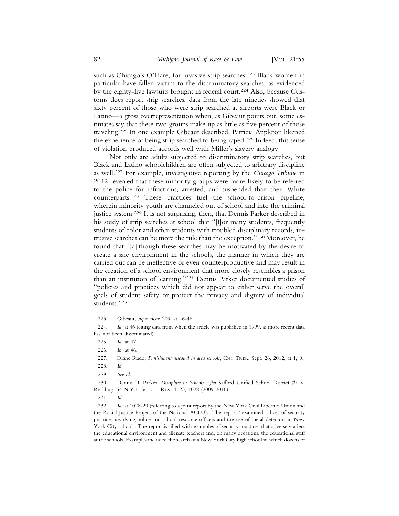such as Chicago's O'Hare, for invasive strip searches.<sup>223</sup> Black women in particular have fallen victim to the discriminatory searches, as evidenced by the eighty-five lawsuits brought in federal court.224 Also, because Customs does report strip searches, data from the late nineties showed that sixty percent of those who were strip searched at airports were Black or Latino—a gross overrepresentation when, as Gibeaut points out, some estimates say that these two groups make up as little as five percent of those traveling.225 In one example Gibeaut described, Patricia Appleton likened the experience of being strip searched to being raped.226 Indeed, this sense of violation produced accords well with Miller's slavery analogy.

Not only are adults subjected to discriminatory strip searches, but Black and Latino schoolchildren are often subjected to arbitrary discipline as well.227 For example, investigative reporting by the *Chicago Tribune* in 2012 revealed that these minority groups were more likely to be referred to the police for infractions, arrested, and suspended than their White counterparts.228 These practices fuel the school-to-prison pipeline, wherein minority youth are channeled out of school and into the criminal justice system.229 It is not surprising, then, that Dennis Parker described in his study of strip searches at school that "[f]or many students, frequently students of color and often students with troubled disciplinary records, intrusive searches can be more the rule than the exception."230 Moreover, he found that "[a]lthough these searches may be motivated by the desire to create a safe environment in the schools, the manner in which they are carried out can be ineffective or even counterproductive and may result in the creation of a school environment that more closely resembles a prison than an institution of learning."231 Dennis Parker documented studies of "policies and practices which did not appear to either serve the overall goals of student safety or protect the privacy and dignity of individual students."232

230. Dennis D. Parker, *Discipline in Schools After* Safford Unified School District #1 v. Redding, 54 N.Y.L. SCH. L. REV. 1023, 1028 (2009-2010).

232. *Id*. at 1028-29 (referring to a joint report by the New York Civil Liberties Union and the Racial Justice Project of the National ACLU). The report "examined a host of security practices involving police and school resource officers and the use of metal detectors in New York City schools. The report is filled with examples of security practices that adversely affect the educational environment and alienate teachers and, on many occasions, the educational staff at the schools. Examples included the search of a New York City high school in which dozens of

<sup>223.</sup> Gibeaut, *supra* note 209, at 46-48.

<sup>224.</sup> *Id*. at 46 (citing data from when the article was published in 1999, as more recent data has not been disseminated).

<sup>225.</sup> *Id*. at 47.

<sup>226.</sup> *Id*. at 46.

<sup>227.</sup> Diane Rado, *Punishment unequal in area schools*, CHI. TRIB., Sept. 26, 2012, at 1, 9. 228. *Id*.

<sup>229.</sup> *See id*.

<sup>231.</sup> *Id*.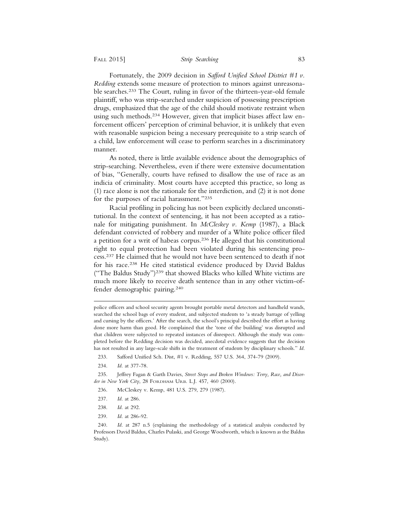Fortunately, the 2009 decision in *Safford Unified School District #1 v. Redding* extends some measure of protection to minors against unreasonable searches.233 The Court, ruling in favor of the thirteen-year-old female plaintiff, who was strip-searched under suspicion of possessing prescription drugs, emphasized that the age of the child should motivate restraint when using such methods.234 However, given that implicit biases affect law enforcement officers' perception of criminal behavior, it is unlikely that even with reasonable suspicion being a necessary prerequisite to a strip search of a child, law enforcement will cease to perform searches in a discriminatory manner.

As noted, there is little available evidence about the demographics of strip-searching. Nevertheless, even if there were extensive documentation of bias, "Generally, courts have refused to disallow the use of race as an indicia of criminality. Most courts have accepted this practice, so long as (1) race alone is not the rationale for the interdiction, and (2) it is not done for the purposes of racial harassment."235

Racial profiling in policing has not been explicitly declared unconstitutional. In the context of sentencing, it has not been accepted as a rationale for mitigating punishment. In *McCleskey v. Kemp* (1987), a Black defendant convicted of robbery and murder of a White police officer filed a petition for a writ of habeas corpus.236 He alleged that his constitutional right to equal protection had been violated during his sentencing process.237 He claimed that he would not have been sentenced to death if not for his race.238 He cited statistical evidence produced by David Baldus ("The Baldus Study")239 that showed Blacks who killed White victims are much more likely to receive death sentence than in any other victim-offender demographic pairing.240

police officers and school security agents brought portable metal detectors and handheld wands, searched the school bags of every student, and subjected students to 'a steady barrage of yelling and cursing by the officers.' After the search, the school's principal described the effort as having done more harm than good. He complained that the 'tone of the building' was disrupted and that children were subjected to repeated instances of disrespect. Although the study was completed before the Redding decision was decided, anecdotal evidence suggests that the decision has not resulted in any large-scale shifts in the treatment of students by disciplinary schools." *Id*.

- 233. Safford Unified Sch. Dist, #1 v. Redding, 557 U.S. 364, 374-79 (2009).
- 234. *Id*. at 377-78.

235. Jeffrey Fagan & Garth Davies, *Street Stops and Broken Windows: Terry, Race, and Disorder in New York City*, 28 FORDHAM URB. L.J. 457, 460 (2000).

- 236. McCleskey v. Kemp, 481 U.S. 279, 279 (1987).
- 237. *Id*. at 286.
- 238. *Id*. at 292.
- 239. *Id*. at 286-92.

240. *Id*. at 287 n.5 (explaining the methodology of a statistical analysis conducted by Professors David Baldus, Charles Pulaski, and George Woodworth, which is known as the Baldus Study).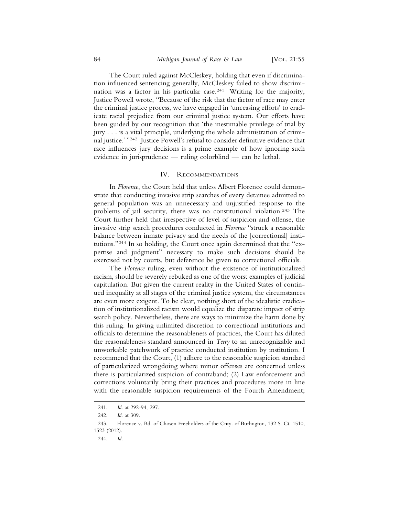The Court ruled against McCleskey, holding that even if discrimination influenced sentencing generally, McCleskey failed to show discrimination was a factor in his particular case.241 Writing for the majority, Justice Powell wrote, "Because of the risk that the factor of race may enter the criminal justice process, we have engaged in 'unceasing efforts' to eradicate racial prejudice from our criminal justice system. Our efforts have been guided by our recognition that 'the inestimable privilege of trial by jury . . . is a vital principle, underlying the whole administration of criminal justice.'"242 Justice Powell's refusal to consider definitive evidence that race influences jury decisions is a prime example of how ignoring such evidence in jurisprudence — ruling colorblind — can be lethal.

## IV. RECOMMENDATIONS

In *Florence*, the Court held that unless Albert Florence could demonstrate that conducting invasive strip searches of every detainee admitted to general population was an unnecessary and unjustified response to the problems of jail security, there was no constitutional violation.243 The Court further held that irrespective of level of suspicion and offense, the invasive strip search procedures conducted in *Florence* "struck a reasonable balance between inmate privacy and the needs of the [correctional] institutions."244 In so holding, the Court once again determined that the "expertise and judgment" necessary to make such decisions should be exercised not by courts, but deference be given to correctional officials.

The *Florence* ruling, even without the existence of institutionalized racism, should be severely rebuked as one of the worst examples of judicial capitulation. But given the current reality in the United States of continued inequality at all stages of the criminal justice system, the circumstances are even more exigent. To be clear, nothing short of the idealistic eradication of institutionalized racism would equalize the disparate impact of strip search policy. Nevertheless, there are ways to minimize the harm done by this ruling. In giving unlimited discretion to correctional institutions and officials to determine the reasonableness of practices, the Court has diluted the reasonableness standard announced in *Terry* to an unrecognizable and unworkable patchwork of practice conducted institution by institution. I recommend that the Court, (1) adhere to the reasonable suspicion standard of particularized wrongdoing where minor offenses are concerned unless there is particularized suspicion of contraband; (2) Law enforcement and corrections voluntarily bring their practices and procedures more in line with the reasonable suspicion requirements of the Fourth Amendment;

<sup>241.</sup> *Id*. at 292-94, 297.

<sup>242.</sup> *Id*. at 309.

<sup>243.</sup> Florence v. Bd. of Chosen Freeholders of the Cnty. of Burlington, 132 S. Ct. 1510, 1523 (2012).

<sup>244.</sup> *Id*.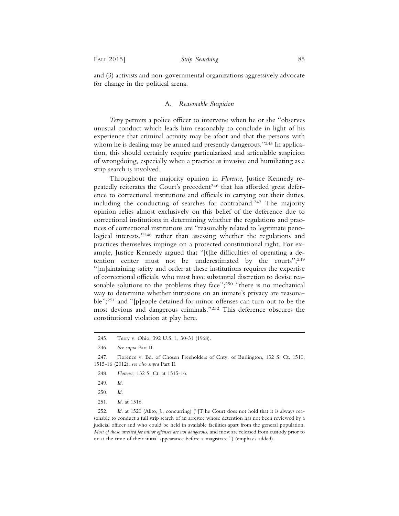and (3) activists and non-governmental organizations aggressively advocate for change in the political arena.

## A. *Reasonable Suspicion*

*Terry* permits a police officer to intervene when he or she "observes unusual conduct which leads him reasonably to conclude in light of his experience that criminal activity may be afoot and that the persons with whom he is dealing may be armed and presently dangerous."<sup>245</sup> In application, this should certainly require particularized and articulable suspicion of wrongdoing, especially when a practice as invasive and humiliating as a strip search is involved.

Throughout the majority opinion in *Florence*, Justice Kennedy repeatedly reiterates the Court's precedent<sup>246</sup> that has afforded great deference to correctional institutions and officials in carrying out their duties, including the conducting of searches for contraband.247 The majority opinion relies almost exclusively on this belief of the deference due to correctional institutions in determining whether the regulations and practices of correctional institutions are "reasonably related to legitimate penological interests,"248 rather than assessing whether the regulations and practices themselves impinge on a protected constitutional right. For example, Justice Kennedy argued that "[t]he difficulties of operating a detention center must not be underestimated by the courts";249 "[m]aintaining safety and order at these institutions requires the expertise of correctional officials, who must have substantial discretion to devise reasonable solutions to the problems they face";<sup>250</sup> "there is no mechanical way to determine whether intrusions on an inmate's privacy are reasonable";251 and "[p]eople detained for minor offenses can turn out to be the most devious and dangerous criminals."252 This deference obscures the constitutional violation at play here.

- 248. *Florence*, 132 S. Ct. at 1515-16.
- 249. *Id.*
- 250. *Id.*
- 251. *Id*. at 1516.

252. *Id.* at 1520 (Alito, J., concurring) ("[T]he Court does not hold that it is always reasonable to conduct a full strip search of an arrestee whose detention has not been reviewed by a judicial officer and who could be held in available facilities apart from the general population. *Most of those arrested for minor offenses are not dangerous*, and most are released from custody prior to or at the time of their initial appearance before a magistrate.") (emphasis added).

<sup>245.</sup> Terry v. Ohio, 392 U.S. 1, 30-31 (1968).

<sup>246.</sup> *See supra* Part II.

<sup>247.</sup> Florence v. Bd. of Chosen Freeholders of Cnty. of Burlington, 132 S. Ct. 1510, 1515-16 (2012); *see also supra* Part II.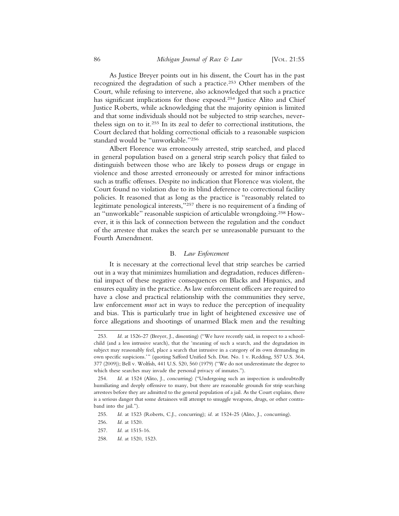As Justice Breyer points out in his dissent, the Court has in the past recognized the degradation of such a practice.253 Other members of the Court, while refusing to intervene, also acknowledged that such a practice has significant implications for those exposed.254 Justice Alito and Chief Justice Roberts, while acknowledging that the majority opinion is limited and that some individuals should not be subjected to strip searches, nevertheless sign on to it.255 In its zeal to defer to correctional institutions, the Court declared that holding correctional officials to a reasonable suspicion standard would be "unworkable."256

Albert Florence was erroneously arrested, strip searched, and placed in general population based on a general strip search policy that failed to distinguish between those who are likely to possess drugs or engage in violence and those arrested erroneously or arrested for minor infractions such as traffic offenses. Despite no indication that Florence was violent, the Court found no violation due to its blind deference to correctional facility policies. It reasoned that as long as the practice is "reasonably related to legitimate penological interests,"257 there is no requirement of a finding of an "unworkable" reasonable suspicion of articulable wrongdoing.258 However, it is this lack of connection between the regulation and the conduct of the arrestee that makes the search per se unreasonable pursuant to the Fourth Amendment.

## B. *Law Enforcement*

It is necessary at the correctional level that strip searches be carried out in a way that minimizes humiliation and degradation, reduces differential impact of these negative consequences on Blacks and Hispanics, and ensures equality in the practice. As law enforcement officers are required to have a close and practical relationship with the communities they serve, law enforcement *must* act in ways to reduce the perception of inequality and bias. This is particularly true in light of heightened excessive use of force allegations and shootings of unarmed Black men and the resulting

<sup>253.</sup> *Id*. at 1526-27 (Breyer, J., dissenting) ("We have recently said, in respect to a schoolchild (and a less intrusive search), that the 'meaning of such a search, and the degradation its subject may reasonably feel, place a search that intrusive in a category of its own demanding its own specific suspicions.'" (quoting Safford Unified Sch. Dist. No. 1 v. Redding, 557 U.S. 364, 377 (2009)); Bell v. Wolfish, 441 U.S. 520, 560 (1979) ("We do not underestimate the degree to which these searches may invade the personal privacy of inmates.").

<sup>254.</sup> *Id*. at 1524 (Alito, J., concurring) ("Undergoing such an inspection is undoubtedly humiliating and deeply offensive to many, but there are reasonable grounds for strip searching arrestees before they are admitted to the general population of a jail. As the Court explains, there is a serious danger that some detainees will attempt to smuggle weapons, drugs, or other contraband into the jail.").

<sup>255.</sup> *Id*. at 1523 (Roberts, C.J., concurring); *id*. at 1524-25 (Alito, J., concurring).

<sup>256.</sup> *Id*. at 1520.

<sup>257.</sup> *Id*. at 1515-16.

<sup>258.</sup> *Id*. at 1520, 1523.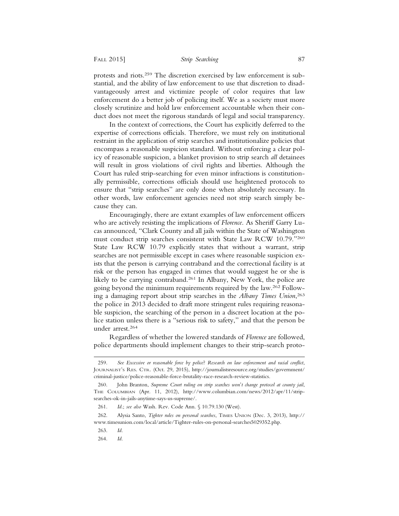protests and riots.259 The discretion exercised by law enforcement is substantial, and the ability of law enforcement to use that discretion to disadvantageously arrest and victimize people of color requires that law enforcement do a better job of policing itself. We as a society must more closely scrutinize and hold law enforcement accountable when their conduct does not meet the rigorous standards of legal and social transparency.

In the context of corrections, the Court has explicitly deferred to the expertise of corrections officials. Therefore, we must rely on institutional restraint in the application of strip searches and institutionalize policies that encompass a reasonable suspicion standard. Without enforcing a clear policy of reasonable suspicion, a blanket provision to strip search *all* detainees will result in gross violations of civil rights and liberties. Although the Court has ruled strip-searching for even minor infractions is constitutionally permissible, corrections officials should use heightened protocols to ensure that "strip searches" are only done when absolutely necessary. In other words, law enforcement agencies need not strip search simply because they can.

Encouragingly, there are extant examples of law enforcement officers who are actively resisting the implications of *Florence*. As Sheriff Garry Lucas announced, "Clark County and all jails within the State of Washington must conduct strip searches consistent with State Law RCW 10.79."260 State Law RCW 10.79 explicitly states that without a warrant, strip searches are not permissible except in cases where reasonable suspicion exists that the person is carrying contraband and the correctional facility is at risk or the person has engaged in crimes that would suggest he or she is likely to be carrying contraband.<sup>261</sup> In Albany, New York, the police are going beyond the minimum requirements required by the law.262 Following a damaging report about strip searches in the *Albany Times Union*, 263 the police in 2013 decided to draft more stringent rules requiring reasonable suspicion, the searching of the person in a discreet location at the police station unless there is a "serious risk to safety," and that the person be under arrest.264

Regardless of whether the lowered standards of *Florence* are followed, police departments should implement changes to their strip-search proto-

264. *Id*.

<sup>259.</sup> *See Excessive or reasonable force by police*? *Research on law enforcement and racial conflict*, JOURNALIST'S RES. CTR. (Oct. 29, 2015), http://journalistsresource.org/studies/government/ criminal-justice/police-reasonable-force-brutality-race-research-review-statistics.

<sup>260.</sup> John Branton, *Supreme Court ruling on strip searches won*'*t change protocol at county jail*, THE COLUMBIAN (Apr. 11, 2012), http://www.columbian.com/news/2012/apr/11/stripsearches-ok-in-jails-anytime-says-us-supreme/.

<sup>261.</sup> *Id*.; *see also* Wash. Rev. Code Ann. § 10.79.130 (West).

<sup>262.</sup> Alysia Santo, *Tighter rules on personal searches*, TIMES UNION (Dec. 3, 2013), http:// www.timesunion.com/local/article/Tighter-rules-on-personal-searches5029352.php.

<sup>263.</sup> *Id*.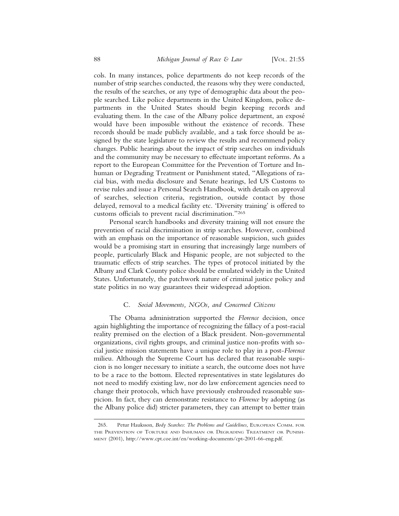cols. In many instances, police departments do not keep records of the number of strip searches conducted, the reasons why they were conducted, the results of the searches, or any type of demographic data about the people searched. Like police departments in the United Kingdom, police departments in the United States should begin keeping records and evaluating them. In the case of the Albany police department, an exposé would have been impossible without the existence of records. These records should be made publicly available, and a task force should be assigned by the state legislature to review the results and recommend policy changes. Public hearings about the impact of strip searches on individuals and the community may be necessary to effectuate important reforms. As a report to the European Committee for the Prevention of Torture and Inhuman or Degrading Treatment or Punishment stated, "Allegations of racial bias, with media disclosure and Senate hearings, led US Customs to revise rules and issue a Personal Search Handbook, with details on approval of searches, selection criteria, registration, outside contact by those delayed, removal to a medical facility etc. 'Diversity training' is offered to customs officials to prevent racial discrimination."265

Personal search handbooks and diversity training will not ensure the prevention of racial discrimination in strip searches. However, combined with an emphasis on the importance of reasonable suspicion, such guides would be a promising start in ensuring that increasingly large numbers of people, particularly Black and Hispanic people, are not subjected to the traumatic effects of strip searches. The types of protocol initiated by the Albany and Clark County police should be emulated widely in the United States. Unfortunately, the patchwork nature of criminal justice policy and state politics in no way guarantees their widespread adoption.

## C. *Social Movements, NGOs, and Concerned Citizens*

The Obama administration supported the *Florence* decision, once again highlighting the importance of recognizing the fallacy of a post-racial reality premised on the election of a Black president. Non-governmental organizations, civil rights groups, and criminal justice non-profits with social justice mission statements have a unique role to play in a post-*Florence* milieu. Although the Supreme Court has declared that reasonable suspicion is no longer necessary to initiate a search, the outcome does not have to be a race to the bottom. Elected representatives in state legislatures do not need to modify existing law, nor do law enforcement agencies need to change their protocols, which have previously enshrouded reasonable suspicion. In fact, they can demonstrate resistance to *Florence* by adopting (as the Albany police did) stricter parameters, they can attempt to better train

<sup>265.</sup> Petur Hauksson, *Body Searches*: *The Problems and Guidelines*, EUROPEAN COMM. FOR THE PREVENTION OF TORTURE AND INHUMAN OR DEGRADING TREATMENT OR PUNISH-MENT (2001), http://www.cpt.coe.int/en/working-documents/cpt-2001-66-eng.pdf.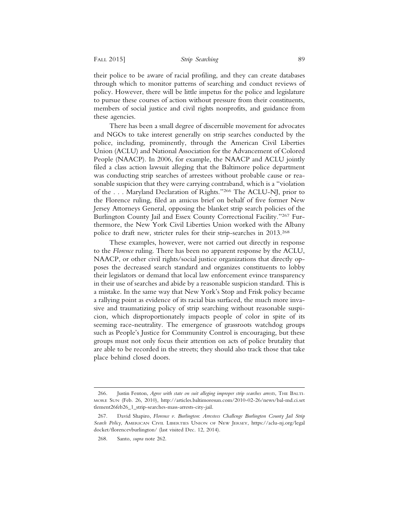their police to be aware of racial profiling, and they can create databases through which to monitor patterns of searching and conduct reviews of policy. However, there will be little impetus for the police and legislature to pursue these courses of action without pressure from their constituents, members of social justice and civil rights nonprofits, and guidance from these agencies.

There has been a small degree of discernible movement for advocates and NGOs to take interest generally on strip searches conducted by the police, including, prominently, through the American Civil Liberties Union (ACLU) and National Association for the Advancement of Colored People (NAACP). In 2006, for example, the NAACP and ACLU jointly filed a class action lawsuit alleging that the Baltimore police department was conducting strip searches of arrestees without probable cause or reasonable suspicion that they were carrying contraband, which is a "violation of the . . . Maryland Declaration of Rights."266 The ACLU-NJ, prior to the Florence ruling, filed an amicus brief on behalf of five former New Jersey Attorneys General, opposing the blanket strip search policies of the Burlington County Jail and Essex County Correctional Facility."267 Furthermore, the New York Civil Liberties Union worked with the Albany police to draft new, stricter rules for their strip-searches in 2013.268

These examples, however, were not carried out directly in response to the *Florence* ruling. There has been no apparent response by the ACLU, NAACP, or other civil rights/social justice organizations that directly opposes the decreased search standard and organizes constituents to lobby their legislators or demand that local law enforcement evince transparency in their use of searches and abide by a reasonable suspicion standard. This is a mistake. In the same way that New York's Stop and Frisk policy became a rallying point as evidence of its racial bias surfaced, the much more invasive and traumatizing policy of strip searching without reasonable suspicion, which disproportionately impacts people of color in spite of its seeming race-neutrality. The emergence of grassroots watchdog groups such as People's Justice for Community Control is encouraging, but these groups must not only focus their attention on acts of police brutality that are able to be recorded in the streets; they should also track those that take place behind closed doors.

<sup>266.</sup> Justin Fenton, *Agree with state on suit alleging improper strip searches arrests*, THE BALTI-MORE SUN (Feb. 26, 2010), http://articles.baltimoresun.com/2010-02-26/news/bal-md.ci.set tlement26feb26\_1\_strip-searches-mass-arrests-city-jail.

<sup>267.</sup> David Shapiro, *Florence v*. *Burlington*: *Arrestees Challenge Burlington County Jail Strip Search Policy*, AMERICAN CIVIL LIBERTIES UNION OF NEW JERSEY, https://aclu-nj.org/legal docket/florencevburlington/ (last visited Dec. 12, 2014).

<sup>268.</sup> Santo, *supra* note 262.